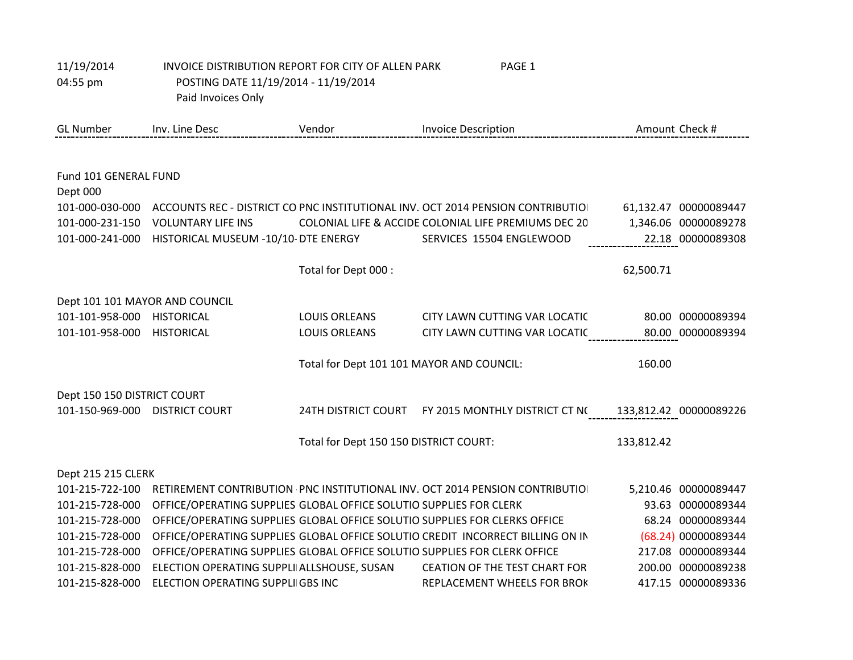| 11/19/2014<br>04:55 pm            | INVOICE DISTRIBUTION REPORT FOR CITY OF ALLEN PARK<br>PAGE 1<br>POSTING DATE 11/19/2014 - 11/19/2014<br>Paid Invoices Only |                                           |                                                                                |            |                        |
|-----------------------------------|----------------------------------------------------------------------------------------------------------------------------|-------------------------------------------|--------------------------------------------------------------------------------|------------|------------------------|
| <b>GL Number</b>                  | Inv. Line Desc                                                                                                             | Vendor                                    | <b>Invoice Description</b>                                                     |            | Amount Check #         |
|                                   |                                                                                                                            |                                           |                                                                                |            |                        |
| Fund 101 GENERAL FUND<br>Dept 000 |                                                                                                                            |                                           |                                                                                |            |                        |
| 101-000-030-000                   |                                                                                                                            |                                           | ACCOUNTS REC - DISTRICT CO PNC INSTITUTIONAL INV. OCT 2014 PENSION CONTRIBUTIO |            | 61,132.47 00000089447  |
| 101-000-231-150                   | <b>VOLUNTARY LIFE INS</b>                                                                                                  |                                           | COLONIAL LIFE & ACCIDE COLONIAL LIFE PREMIUMS DEC 20                           |            | 1,346.06 00000089278   |
| 101-000-241-000                   | HISTORICAL MUSEUM -10/10- DTE ENERGY                                                                                       |                                           | SERVICES 15504 ENGLEWOOD                                                       |            | 22.18 00000089308      |
|                                   |                                                                                                                            | Total for Dept 000 :                      |                                                                                | 62,500.71  |                        |
| Dept 101 101 MAYOR AND COUNCIL    |                                                                                                                            |                                           |                                                                                |            |                        |
| 101-101-958-000                   | <b>HISTORICAL</b>                                                                                                          | <b>LOUIS ORLEANS</b>                      | CITY LAWN CUTTING VAR LOCATIC                                                  |            | 80.00 00000089394      |
| 101-101-958-000                   | <b>HISTORICAL</b>                                                                                                          | <b>LOUIS ORLEANS</b>                      | CITY LAWN CUTTING VAR LOCATIC                                                  |            | 80.00 00000089394      |
|                                   |                                                                                                                            | Total for Dept 101 101 MAYOR AND COUNCIL: |                                                                                | 160.00     |                        |
| Dept 150 150 DISTRICT COURT       |                                                                                                                            |                                           |                                                                                |            |                        |
| 101-150-969-000 DISTRICT COURT    |                                                                                                                            | <b>24TH DISTRICT COURT</b>                | FY 2015 MONTHLY DISTRICT CT NO                                                 |            | 133,812.42 00000089226 |
|                                   |                                                                                                                            | Total for Dept 150 150 DISTRICT COURT:    |                                                                                | 133,812.42 |                        |
| Dept 215 215 CLERK                |                                                                                                                            |                                           |                                                                                |            |                        |
| 101-215-722-100                   |                                                                                                                            |                                           | RETIREMENT CONTRIBUTION PNC INSTITUTIONAL INV. OCT 2014 PENSION CONTRIBUTIO    |            | 5,210.46 00000089447   |
| 101-215-728-000                   | OFFICE/OPERATING SUPPLIES GLOBAL OFFICE SOLUTIO SUPPLIES FOR CLERK                                                         |                                           |                                                                                |            | 93.63 00000089344      |
| 101-215-728-000                   |                                                                                                                            |                                           | OFFICE/OPERATING SUPPLIES GLOBAL OFFICE SOLUTIO SUPPLIES FOR CLERKS OFFICE     |            | 68.24 00000089344      |
| 101-215-728-000                   |                                                                                                                            |                                           | OFFICE/OPERATING SUPPLIES GLOBAL OFFICE SOLUTIO CREDIT INCORRECT BILLING ON IN |            | (68.24) 00000089344    |
| 101-215-728-000                   | OFFICE/OPERATING SUPPLIES GLOBAL OFFICE SOLUTIO SUPPLIES FOR CLERK OFFICE                                                  |                                           |                                                                                |            | 217.08 00000089344     |
| 101-215-828-000                   | ELECTION OPERATING SUPPLI ALLSHOUSE, SUSAN                                                                                 |                                           | <b>CEATION OF THE TEST CHART FOR</b>                                           |            | 200.00 00000089238     |
| 101-215-828-000                   | ELECTION OPERATING SUPPLIIGBS INC                                                                                          |                                           | REPLACEMENT WHEELS FOR BROK                                                    |            | 417.15 00000089336     |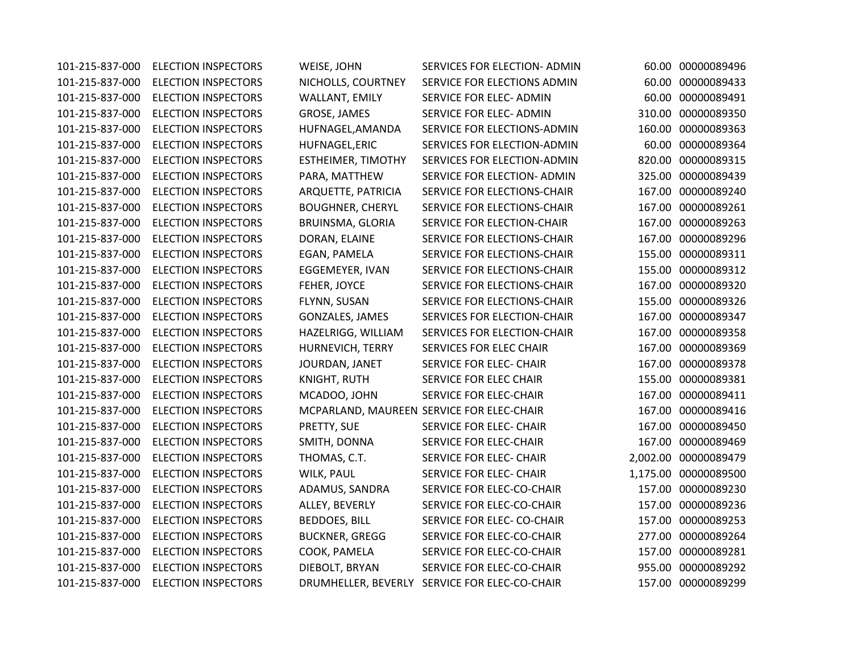101-215-837-000 ELECTION INSPECTORS WEISE, JOHN SERVICES FOR ELECTION- ADMIN 60.00 00000089496 101-215-837-000 ELECTION INSPECTORS NICHOLLS, COURTNEY SERVICE FOR ELECTIONS ADMIN 60.00 00000089433 101-215-837-000 ELECTION INSPECTORS WALLANT, EMILY SERVICE FOR ELEC- ADMIN 60.00 00000089491 101-215-837-000 ELECTION INSPECTORS GROSE, JAMES SERVICE FOR ELEC- ADMIN 310.00 00000089350 101-215-837-000 ELECTION INSPECTORS HUFNAGEL,AMANDA SERVICE FOR ELECTIONS-ADMIN 160.00 00000089363 101-215-837-000 ELECTION INSPECTORS HUFNAGEL,ERIC SERVICES FOR ELECTION-ADMIN 60.00 00000089364 101-215-837-000 ELECTION INSPECTORS ESTHEIMER, TIMOTHY SERVICES FOR ELECTION-ADMIN 820.00 00000089315 101-215-837-000 ELECTION INSPECTORS PARA, MATTHEW SERVICE FOR ELECTION- ADMIN 325.00 00000089439 101-215-837-000 ELECTION INSPECTORS ARQUETTE, PATRICIA SERVICE FOR ELECTIONS-CHAIR 167.00 00000089240 101-215-837-000 ELECTION INSPECTORS BOUGHNER, CHERYL SERVICE FOR ELECTIONS-CHAIR 167.00 00000089261 101-215-837-000 ELECTION INSPECTORS BRUINSMA, GLORIA SERVICE FOR ELECTION-CHAIR 167.00 00000089263 101-215-837-000 ELECTION INSPECTORS DORAN, ELAINE SERVICE FOR ELECTIONS-CHAIR 167.00 00000089296 101-215-837-000 ELECTION INSPECTORS EGAN, PAMELA SERVICE FOR ELECTIONS-CHAIR 155.00 00000089311 101-215-837-000 ELECTION INSPECTORS EGGEMEYER, IVAN SERVICE FOR ELECTIONS-CHAIR 155.00 00000089312 101-215-837-000 ELECTION INSPECTORS FEHER, JOYCE SERVICE FOR ELECTIONS-CHAIR 167.00 00000089320 101-215-837-000 ELECTION INSPECTORS FLYNN, SUSAN SERVICE FOR ELECTIONS-CHAIR 155.00 00000089326 101-215-837-000 ELECTION INSPECTORS GONZALES, JAMES SERVICES FOR ELECTION-CHAIR 167.00 00000089347 101-215-837-000 ELECTION INSPECTORS HAZELRIGG, WILLIAM SERVICES FOR ELECTION-CHAIR 167.00 00000089358 101-215-837-000 ELECTION INSPECTORS HURNEVICH, TERRY SERVICES FOR ELEC CHAIR 167.00 00000089369 101-215-837-000 ELECTION INSPECTORS JOURDAN, JANET SERVICE FOR ELEC- CHAIR 167.00 00000089378 101-215-837-000 ELECTION INSPECTORS KNIGHT, RUTH SERVICE FOR ELEC CHAIR 155.00 00000089381 101-215-837-000 ELECTION INSPECTORS MCADOO, JOHN SERVICE FOR ELEC-CHAIR 167.00 00000089411 101-215-837-000 ELECTION INSPECTORS MCPARLAND, MAUREEN SERVICE FOR ELEC-CHAIR 167.00 00000089416 101-215-837-000 ELECTION INSPECTORS PRETTY, SUE SERVICE FOR ELEC- CHAIR 167.00 00000089450 101-215-837-000 ELECTION INSPECTORS SMITH, DONNA SERVICE FOR ELEC-CHAIR 167.00 00000089469 101-215-837-000 ELECTION INSPECTORS THOMAS, C.T. SERVICE FOR ELEC- CHAIR 2,002.00 00000089479 101-215-837-000 ELECTION INSPECTORS WILK, PAUL SERVICE FOR ELEC- CHAIR 1,175.00 00000089500 101-215-837-000 ELECTION INSPECTORS ADAMUS, SANDRA SERVICE FOR ELEC-CO-CHAIR 157.00 00000089230 101-215-837-000 ELECTION INSPECTORS ALLEY, BEVERLY SERVICE FOR ELEC-CO-CHAIR 157.00 00000089236 101-215-837-000 ELECTION INSPECTORS BEDDOES, BILL SERVICE FOR ELEC- CO-CHAIR 157.00 00000089253 101-215-837-000 ELECTION INSPECTORS BUCKNER, GREGG SERVICE FOR ELEC-CO-CHAIR 277.00 00000089264 101-215-837-000 ELECTION INSPECTORS COOK, PAMELA SERVICE FOR ELEC-CO-CHAIR 157.00 00000089281 101-215-837-000 ELECTION INSPECTORS DIEBOLT, BRYAN SERVICE FOR ELEC-CO-CHAIR 955.00 00000089292 101-215-837-000 ELECTION INSPECTORS DRUMHELLER, BEVERLY SERVICE FOR ELEC-CO-CHAIR 157.00 00000089299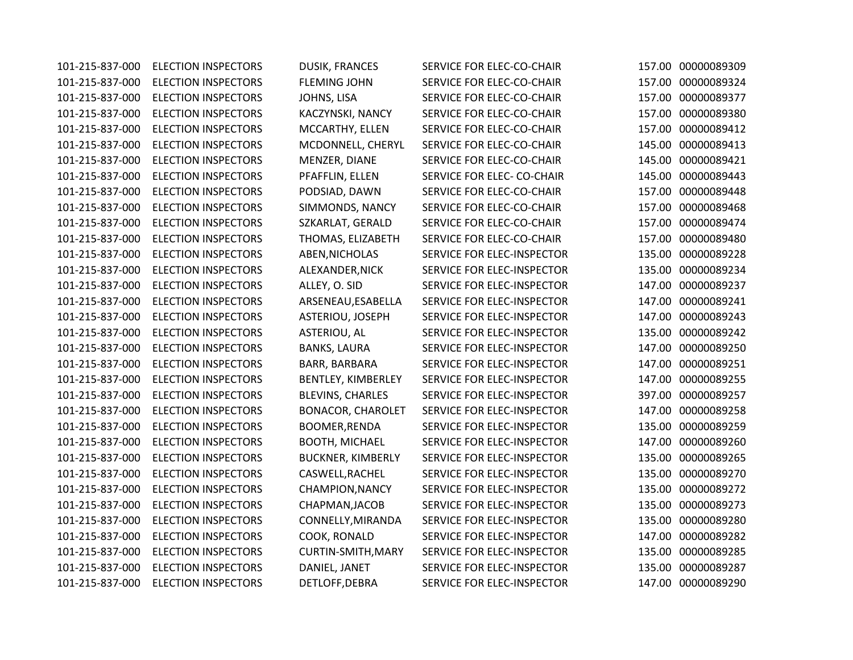101-215-837-000 ELECTION INSPECTORS DUSIK, FRANCES SERVICE FOR ELEC-CO-CHAIR 157.00 00000089309 101-215-837-000 ELECTION INSPECTORS FLEMING JOHN SERVICE FOR ELEC-CO-CHAIR 157.00 00000089324 101-215-837-000 ELECTION INSPECTORS JOHNS, LISA SERVICE FOR ELEC-CO-CHAIR 157.00 00000089377 101-215-837-000 ELECTION INSPECTORS KACZYNSKI, NANCY SERVICE FOR ELEC-CO-CHAIR 157.00 00000089380 101-215-837-000 ELECTION INSPECTORS MCCARTHY, ELLEN SERVICE FOR ELEC-CO-CHAIR 157.00 00000089412 101-215-837-000 ELECTION INSPECTORS MCDONNELL, CHERYL SERVICE FOR ELEC-CO-CHAIR 145.00 00000089413 101-215-837-000 ELECTION INSPECTORS MENZER, DIANE SERVICE FOR ELEC-CO-CHAIR 145.00 00000089421 101-215-837-000 ELECTION INSPECTORS PFAFFLIN, ELLEN SERVICE FOR ELEC- CO-CHAIR 145.00 00000089443 101-215-837-000 ELECTION INSPECTORS PODSIAD, DAWN SERVICE FOR ELEC-CO-CHAIR 157.00 00000089448 101-215-837-000 ELECTION INSPECTORS SIMMONDS, NANCY SERVICE FOR ELEC-CO-CHAIR 157.00 00000089468 101-215-837-000 ELECTION INSPECTORS SZKARLAT, GERALD SERVICE FOR ELEC-CO-CHAIR 157.00 00000089474 101-215-837-000 ELECTION INSPECTORS THOMAS, ELIZABETH SERVICE FOR ELEC-CO-CHAIR 157.00 00000089480 101-215-837-000 ELECTION INSPECTORS ABEN,NICHOLAS SERVICE FOR ELEC-INSPECTOR 135.00 00000089228 101-215-837-000 ELECTION INSPECTORS ALEXANDER,NICK SERVICE FOR ELEC-INSPECTOR 135.00 00000089234 101-215-837-000 ELECTION INSPECTORS ALLEY, O. SID SERVICE FOR ELEC-INSPECTOR 147.00 00000089237 101-215-837-000 ELECTION INSPECTORS ARSENEAU,ESABELLA SERVICE FOR ELEC-INSPECTOR 147.00 00000089241 101-215-837-000 ELECTION INSPECTORS ASTERIOU, JOSEPH SERVICE FOR ELEC-INSPECTOR 147.00 00000089243 101-215-837-000 ELECTION INSPECTORS ASTERIOU, AL SERVICE FOR ELEC-INSPECTOR 135.00 00000089242 101-215-837-000 ELECTION INSPECTORS BANKS, LAURA SERVICE FOR ELEC-INSPECTOR 147.00 00000089250 101-215-837-000 ELECTION INSPECTORS BARR, BARBARA SERVICE FOR ELEC-INSPECTOR 147.00 00000089251 101-215-837-000 ELECTION INSPECTORS BENTLEY, KIMBERLEY SERVICE FOR ELEC-INSPECTOR 147.00 00000089255 101-215-837-000 ELECTION INSPECTORS BLEVINS, CHARLES SERVICE FOR ELEC-INSPECTOR 397.00 00000089257 101-215-837-000 ELECTION INSPECTORS BONACOR, CHAROLET SERVICE FOR ELEC-INSPECTOR 147.00 00000089258 101-215-837-000 ELECTION INSPECTORS BOOMER,RENDA SERVICE FOR ELEC-INSPECTOR 135.00 00000089259 101-215-837-000 ELECTION INSPECTORS BOOTH, MICHAEL SERVICE FOR ELEC-INSPECTOR 147.00 00000089260 101-215-837-000 ELECTION INSPECTORS BUCKNER, KIMBERLY SERVICE FOR ELEC-INSPECTOR 135.00 00000089265 101-215-837-000 ELECTION INSPECTORS CASWELL,RACHEL SERVICE FOR ELEC-INSPECTOR 135.00 00000089270 101-215-837-000 ELECTION INSPECTORS CHAMPION,NANCY SERVICE FOR ELEC-INSPECTOR 135.00 00000089272 101-215-837-000 ELECTION INSPECTORS CHAPMAN,JACOB SERVICE FOR ELEC-INSPECTOR 135.00 00000089273 101-215-837-000 ELECTION INSPECTORS CONNELLY,MIRANDA SERVICE FOR ELEC-INSPECTOR 135.00 00000089280 101-215-837-000 ELECTION INSPECTORS COOK, RONALD SERVICE FOR ELEC-INSPECTOR 147.00 00000089282 101-215-837-000 ELECTION INSPECTORS CURTIN-SMITH,MARY SERVICE FOR ELEC-INSPECTOR 135.00 00000089285 101-215-837-000 ELECTION INSPECTORS DANIEL, JANET SERVICE FOR ELEC-INSPECTOR 135.00 00000089287 101-215-837-000 ELECTION INSPECTORS DETLOFF,DEBRA SERVICE FOR ELEC-INSPECTOR 147.00 00000089290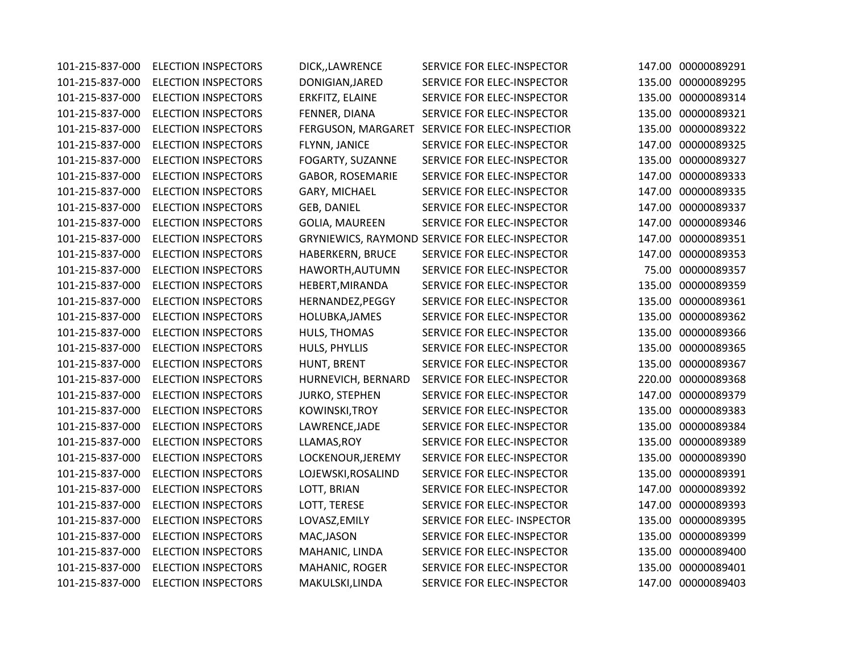| 101-215-837-000 | <b>ELECTION INSPECTORS</b> | DICK,,LAWRENCE          | SERVICE FOR ELEC-INSPECTOR                     |        | 147.00 00000089291 |
|-----------------|----------------------------|-------------------------|------------------------------------------------|--------|--------------------|
| 101-215-837-000 | <b>ELECTION INSPECTORS</b> | DONIGIAN, JARED         | SERVICE FOR ELEC-INSPECTOR                     |        | 135.00 00000089295 |
| 101-215-837-000 | <b>ELECTION INSPECTORS</b> | ERKFITZ, ELAINE         | SERVICE FOR ELEC-INSPECTOR                     |        | 135.00 00000089314 |
| 101-215-837-000 | <b>ELECTION INSPECTORS</b> | FENNER, DIANA           | SERVICE FOR ELEC-INSPECTOR                     |        | 135.00 00000089321 |
| 101-215-837-000 | <b>ELECTION INSPECTORS</b> | FERGUSON, MARGARET      | SERVICE FOR ELEC-INSPECTIOR                    | 135.00 | 00000089322        |
| 101-215-837-000 | <b>ELECTION INSPECTORS</b> | FLYNN, JANICE           | SERVICE FOR ELEC-INSPECTOR                     | 147.00 | 00000089325        |
| 101-215-837-000 | <b>ELECTION INSPECTORS</b> | FOGARTY, SUZANNE        | SERVICE FOR ELEC-INSPECTOR                     | 135.00 | 00000089327        |
| 101-215-837-000 | <b>ELECTION INSPECTORS</b> | <b>GABOR, ROSEMARIE</b> | SERVICE FOR ELEC-INSPECTOR                     | 147.00 | 00000089333        |
| 101-215-837-000 | <b>ELECTION INSPECTORS</b> | GARY, MICHAEL           | SERVICE FOR ELEC-INSPECTOR                     | 147.00 | 00000089335        |
| 101-215-837-000 | <b>ELECTION INSPECTORS</b> | <b>GEB, DANIEL</b>      | SERVICE FOR ELEC-INSPECTOR                     | 147.00 | 00000089337        |
| 101-215-837-000 | <b>ELECTION INSPECTORS</b> | <b>GOLIA, MAUREEN</b>   | SERVICE FOR ELEC-INSPECTOR                     | 147.00 | 00000089346        |
| 101-215-837-000 | <b>ELECTION INSPECTORS</b> |                         | GRYNIEWICS, RAYMOND SERVICE FOR ELEC-INSPECTOR | 147.00 | 00000089351        |
| 101-215-837-000 | <b>ELECTION INSPECTORS</b> | <b>HABERKERN, BRUCE</b> | SERVICE FOR ELEC-INSPECTOR                     |        | 147.00 00000089353 |
| 101-215-837-000 | <b>ELECTION INSPECTORS</b> | HAWORTH, AUTUMN         | SERVICE FOR ELEC-INSPECTOR                     | 75.00  | 00000089357        |
| 101-215-837-000 | <b>ELECTION INSPECTORS</b> | HEBERT, MIRANDA         | SERVICE FOR ELEC-INSPECTOR                     | 135.00 | 00000089359        |
| 101-215-837-000 | <b>ELECTION INSPECTORS</b> | HERNANDEZ, PEGGY        | SERVICE FOR ELEC-INSPECTOR                     | 135.00 | 00000089361        |
| 101-215-837-000 | <b>ELECTION INSPECTORS</b> | HOLUBKA, JAMES          | SERVICE FOR ELEC-INSPECTOR                     | 135.00 | 00000089362        |
| 101-215-837-000 | <b>ELECTION INSPECTORS</b> | HULS, THOMAS            | SERVICE FOR ELEC-INSPECTOR                     | 135.00 | 00000089366        |
| 101-215-837-000 | <b>ELECTION INSPECTORS</b> | HULS, PHYLLIS           | SERVICE FOR ELEC-INSPECTOR                     |        | 135.00 00000089365 |
| 101-215-837-000 | <b>ELECTION INSPECTORS</b> | HUNT, BRENT             | SERVICE FOR ELEC-INSPECTOR                     |        | 135.00 00000089367 |
| 101-215-837-000 | <b>ELECTION INSPECTORS</b> | HURNEVICH, BERNARD      | SERVICE FOR ELEC-INSPECTOR                     | 220.00 | 00000089368        |
| 101-215-837-000 | <b>ELECTION INSPECTORS</b> | <b>JURKO, STEPHEN</b>   | SERVICE FOR ELEC-INSPECTOR                     | 147.00 | 00000089379        |
| 101-215-837-000 | <b>ELECTION INSPECTORS</b> | KOWINSKI, TROY          | SERVICE FOR ELEC-INSPECTOR                     |        | 135.00 00000089383 |
| 101-215-837-000 | <b>ELECTION INSPECTORS</b> | LAWRENCE, JADE          | SERVICE FOR ELEC-INSPECTOR                     |        | 135.00 00000089384 |
| 101-215-837-000 | <b>ELECTION INSPECTORS</b> | LLAMAS, ROY             | SERVICE FOR ELEC-INSPECTOR                     | 135.00 | 00000089389        |
| 101-215-837-000 | <b>ELECTION INSPECTORS</b> | LOCKENOUR, JEREMY       | SERVICE FOR ELEC-INSPECTOR                     | 135.00 | 00000089390        |
| 101-215-837-000 | <b>ELECTION INSPECTORS</b> | LOJEWSKI, ROSALIND      | SERVICE FOR ELEC-INSPECTOR                     | 135.00 | 00000089391        |
| 101-215-837-000 | <b>ELECTION INSPECTORS</b> | LOTT, BRIAN             | SERVICE FOR ELEC-INSPECTOR                     | 147.00 | 00000089392        |
| 101-215-837-000 | <b>ELECTION INSPECTORS</b> | LOTT, TERESE            | SERVICE FOR ELEC-INSPECTOR                     | 147.00 | 00000089393        |
| 101-215-837-000 | <b>ELECTION INSPECTORS</b> | LOVASZ, EMILY           | SERVICE FOR ELEC- INSPECTOR                    | 135.00 | 00000089395        |
| 101-215-837-000 | <b>ELECTION INSPECTORS</b> | MAC, JASON              | SERVICE FOR ELEC-INSPECTOR                     | 135.00 | 00000089399        |
| 101-215-837-000 | <b>ELECTION INSPECTORS</b> | MAHANIC, LINDA          | SERVICE FOR ELEC-INSPECTOR                     | 135.00 | 00000089400        |
| 101-215-837-000 | <b>ELECTION INSPECTORS</b> | MAHANIC, ROGER          | SERVICE FOR ELEC-INSPECTOR                     | 135.00 | 00000089401        |
| 101-215-837-000 | <b>ELECTION INSPECTORS</b> | MAKULSKI, LINDA         | SERVICE FOR ELEC-INSPECTOR                     |        | 147.00 00000089403 |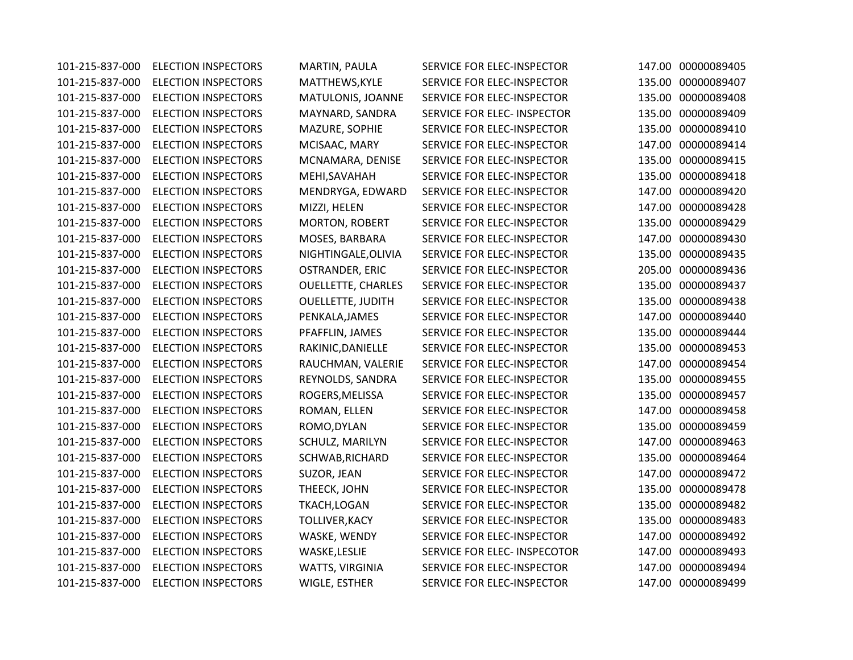101-215-837-000 ELECTION INSPECTORS MARTIN, PAULA SERVICE FOR ELEC-INSPECTOR 147.00 00000089405 101-215-837-000 ELECTION INSPECTORS MATTHEWS,KYLE SERVICE FOR ELEC-INSPECTOR 135.00 00000089407 101-215-837-000 ELECTION INSPECTORS MATULONIS, JOANNE SERVICE FOR ELEC-INSPECTOR 135.00 00000089408 101-215-837-000 ELECTION INSPECTORS MAYNARD, SANDRA SERVICE FOR ELEC- INSPECTOR 135.00 00000089409 101-215-837-000 ELECTION INSPECTORS MAZURE, SOPHIE SERVICE FOR ELEC-INSPECTOR 135.00 00000089410 101-215-837-000 ELECTION INSPECTORS MCISAAC, MARY SERVICE FOR ELEC-INSPECTOR 147.00 00000089414 101-215-837-000 ELECTION INSPECTORS MCNAMARA, DENISE SERVICE FOR ELEC-INSPECTOR 135.00 00000089415 101-215-837-000 ELECTION INSPECTORS MEHI,SAVAHAH SERVICE FOR ELEC-INSPECTOR 135.00 00000089418 101-215-837-000 ELECTION INSPECTORS MENDRYGA, EDWARD SERVICE FOR ELEC-INSPECTOR 147.00 00000089420 101-215-837-000 ELECTION INSPECTORS MIZZI, HELEN SERVICE FOR ELEC-INSPECTOR 147.00 00000089428 101-215-837-000 ELECTION INSPECTORS MORTON, ROBERT SERVICE FOR ELEC-INSPECTOR 135.00 00000089429 101-215-837-000 ELECTION INSPECTORS MOSES, BARBARA SERVICE FOR ELEC-INSPECTOR 147.00 00000089430 101-215-837-000 ELECTION INSPECTORS NIGHTINGALE,OLIVIA SERVICE FOR ELEC-INSPECTOR 135.00 00000089435 101-215-837-000 ELECTION INSPECTORS OSTRANDER, ERIC SERVICE FOR ELEC-INSPECTOR 205.00 00000089436 101-215-837-000 ELECTION INSPECTORS OUELLETTE, CHARLES SERVICE FOR ELEC-INSPECTOR 135.00 00000089437 101-215-837-000 ELECTION INSPECTORS OUELLETTE, JUDITH SERVICE FOR ELEC-INSPECTOR 135.00 00000089438 101-215-837-000 ELECTION INSPECTORS PENKALA,JAMES SERVICE FOR ELEC-INSPECTOR 147.00 00000089440 101-215-837-000 ELECTION INSPECTORS PFAFFLIN, JAMES SERVICE FOR ELEC-INSPECTOR 135.00 00000089444 101-215-837-000 ELECTION INSPECTORS RAKINIC,DANIELLE SERVICE FOR ELEC-INSPECTOR 135.00 00000089453 101-215-837-000 ELECTION INSPECTORS RAUCHMAN, VALERIE SERVICE FOR ELEC-INSPECTOR 147.00 00000089454 101-215-837-000 ELECTION INSPECTORS REYNOLDS, SANDRA SERVICE FOR ELEC-INSPECTOR 135.00 00000089455 101-215-837-000 ELECTION INSPECTORS ROGERS,MELISSA SERVICE FOR ELEC-INSPECTOR 135.00 00000089457 101-215-837-000 ELECTION INSPECTORS ROMAN, ELLEN SERVICE FOR ELEC-INSPECTOR 147.00 00000089458 101-215-837-000 ELECTION INSPECTORS ROMO,DYLAN SERVICE FOR ELEC-INSPECTOR 135.00 00000089459 101-215-837-000 ELECTION INSPECTORS SCHULZ, MARILYN SERVICE FOR ELEC-INSPECTOR 147.00 00000089463 101-215-837-000 ELECTION INSPECTORS SCHWAB,RICHARD SERVICE FOR ELEC-INSPECTOR 135.00 00000089464 101-215-837-000 ELECTION INSPECTORS SUZOR, JEAN SERVICE FOR ELEC-INSPECTOR 147.00 00000089472 101-215-837-000 ELECTION INSPECTORS THEECK, JOHN SERVICE FOR ELEC-INSPECTOR 135.00 00000089478 101-215-837-000 ELECTION INSPECTORS TKACH,LOGAN SERVICE FOR ELEC-INSPECTOR 135.00 00000089482 101-215-837-000 ELECTION INSPECTORS TOLLIVER,KACY SERVICE FOR ELEC-INSPECTOR 135.00 00000089483 101-215-837-000 ELECTION INSPECTORS WASKE, WENDY SERVICE FOR ELEC-INSPECTOR 147.00 00000089492 101-215-837-000 ELECTION INSPECTORS WASKE,LESLIE SERVICE FOR ELEC- INSPECOTOR 147.00 00000089493 101-215-837-000 ELECTION INSPECTORS WATTS, VIRGINIA SERVICE FOR ELEC-INSPECTOR 147.00 00000089494 101-215-837-000 ELECTION INSPECTORS WIGLE, ESTHER SERVICE FOR ELEC-INSPECTOR 147.00 00000089499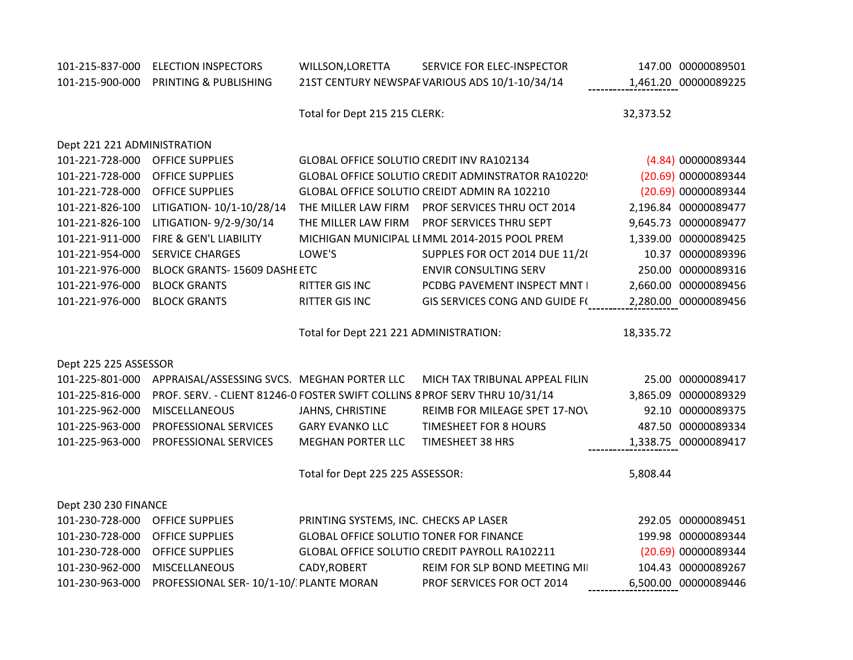| 101-215-837-000             | <b>ELECTION INSPECTORS</b>                                                  | WILLSON, LORETTA                               | SERVICE FOR ELEC-INSPECTOR                         | 147.00 00000089501   |
|-----------------------------|-----------------------------------------------------------------------------|------------------------------------------------|----------------------------------------------------|----------------------|
| 101-215-900-000             | PRINTING & PUBLISHING                                                       |                                                | 21ST CENTURY NEWSPAF VARIOUS ADS 10/1-10/34/14     | 1,461.20 00000089225 |
|                             |                                                                             |                                                |                                                    |                      |
|                             |                                                                             | Total for Dept 215 215 CLERK:                  |                                                    | 32,373.52            |
|                             |                                                                             |                                                |                                                    |                      |
| Dept 221 221 ADMINISTRATION |                                                                             |                                                |                                                    |                      |
| 101-221-728-000             | <b>OFFICE SUPPLIES</b>                                                      | GLOBAL OFFICE SOLUTIO CREDIT INV RA102134      |                                                    | (4.84) 00000089344   |
| 101-221-728-000             | <b>OFFICE SUPPLIES</b>                                                      |                                                | GLOBAL OFFICE SOLUTIO CREDIT ADMINSTRATOR RA10220! | (20.69) 00000089344  |
| 101-221-728-000             | <b>OFFICE SUPPLIES</b>                                                      |                                                | GLOBAL OFFICE SOLUTIO CREIDT ADMIN RA 102210       | (20.69) 00000089344  |
| 101-221-826-100             | LITIGATION- 10/1-10/28/14                                                   | THE MILLER LAW FIRM                            | PROF SERVICES THRU OCT 2014                        | 2,196.84 00000089477 |
| 101-221-826-100             | LITIGATION-9/2-9/30/14                                                      | THE MILLER LAW FIRM                            | PROF SERVICES THRU SEPT                            | 9,645.73 00000089477 |
| 101-221-911-000             | FIRE & GEN'L LIABILITY                                                      |                                                | MICHIGAN MUNICIPAL LI MML 2014-2015 POOL PREM      | 1,339.00 00000089425 |
| 101-221-954-000             | <b>SERVICE CHARGES</b>                                                      | LOWE'S                                         | SUPPLES FOR OCT 2014 DUE 11/2(                     | 10.37 00000089396    |
| 101-221-976-000             | <b>BLOCK GRANTS-15609 DASHE ETC</b>                                         |                                                | <b>ENVIR CONSULTING SERV</b>                       | 250.00 00000089316   |
| 101-221-976-000             | <b>BLOCK GRANTS</b>                                                         | RITTER GIS INC                                 | PCDBG PAVEMENT INSPECT MNT I                       | 2,660.00 00000089456 |
| 101-221-976-000             | <b>BLOCK GRANTS</b>                                                         | RITTER GIS INC                                 | <b>GIS SERVICES CONG AND GUIDE F(</b>              | 2,280.00 00000089456 |
|                             |                                                                             |                                                |                                                    |                      |
|                             |                                                                             |                                                |                                                    |                      |
|                             |                                                                             | Total for Dept 221 221 ADMINISTRATION:         |                                                    | 18,335.72            |
|                             |                                                                             |                                                |                                                    |                      |
| Dept 225 225 ASSESSOR       |                                                                             |                                                |                                                    |                      |
| 101-225-801-000             | APPRAISAL/ASSESSING SVCS. MEGHAN PORTER LLC                                 |                                                | MICH TAX TRIBUNAL APPEAL FILIN                     | 25.00 00000089417    |
| 101-225-816-000             | PROF. SERV. - CLIENT 81246-0 FOSTER SWIFT COLLINS 8 PROF SERV THRU 10/31/14 |                                                |                                                    | 3,865.09 00000089329 |
| 101-225-962-000             | MISCELLANEOUS                                                               | JAHNS, CHRISTINE                               | REIMB FOR MILEAGE SPET 17-NO\                      | 92.10 00000089375    |
| 101-225-963-000             | PROFESSIONAL SERVICES                                                       | <b>GARY EVANKO LLC</b>                         | <b>TIMESHEET FOR 8 HOURS</b>                       | 487.50 00000089334   |
| 101-225-963-000             | PROFESSIONAL SERVICES                                                       | <b>MEGHAN PORTER LLC</b>                       | TIMESHEET 38 HRS                                   |                      |
|                             |                                                                             |                                                |                                                    | 1,338.75 00000089417 |
|                             |                                                                             | Total for Dept 225 225 ASSESSOR:               |                                                    | 5,808.44             |
|                             |                                                                             |                                                |                                                    |                      |
| Dept 230 230 FINANCE        |                                                                             |                                                |                                                    |                      |
| 101-230-728-000             | <b>OFFICE SUPPLIES</b>                                                      | PRINTING SYSTEMS, INC. CHECKS AP LASER         |                                                    | 292.05 00000089451   |
| 101-230-728-000             | <b>OFFICE SUPPLIES</b>                                                      | <b>GLOBAL OFFICE SOLUTIO TONER FOR FINANCE</b> |                                                    | 199.98 00000089344   |
| 101-230-728-000             | <b>OFFICE SUPPLIES</b>                                                      |                                                | GLOBAL OFFICE SOLUTIO CREDIT PAYROLL RA102211      | (20.69) 00000089344  |
| 101-230-962-000             | <b>MISCELLANEOUS</b>                                                        | CADY, ROBERT                                   | REIM FOR SLP BOND MEETING MIL                      | 104.43 00000089267   |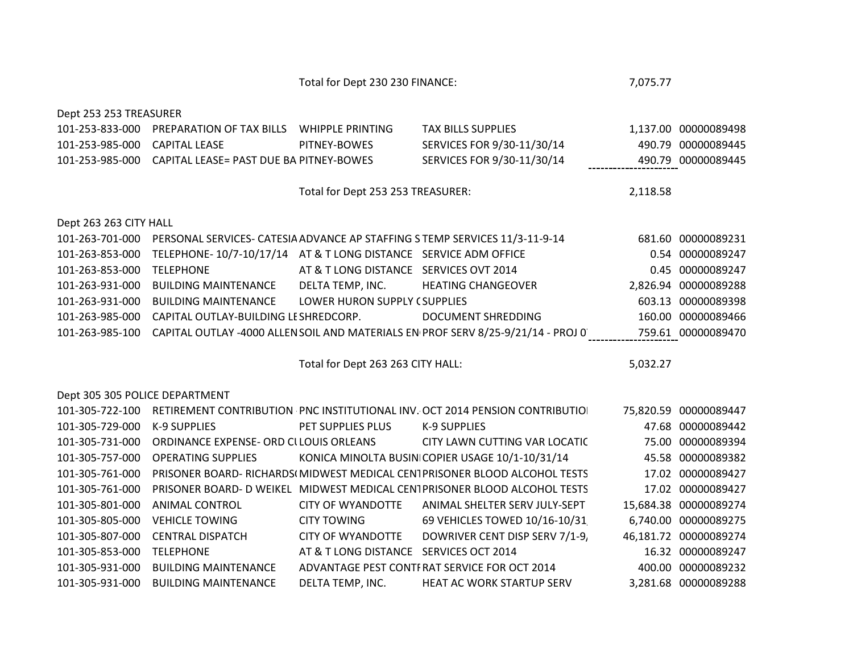Total for Dept 230 230 FINANCE: 7,075.77

| Dept 253 253 TREASURER         |                                                                 |                                        |                                                                                  |          |                       |
|--------------------------------|-----------------------------------------------------------------|----------------------------------------|----------------------------------------------------------------------------------|----------|-----------------------|
| 101-253-833-000                | PREPARATION OF TAX BILLS  WHIPPLE PRINTING                      |                                        | <b>TAX BILLS SUPPLIES</b>                                                        |          | 1,137.00 00000089498  |
| 101-253-985-000                | <b>CAPITAL LEASE</b>                                            | PITNEY-BOWES                           | SERVICES FOR 9/30-11/30/14                                                       |          | 490.79 00000089445    |
| 101-253-985-000                | CAPITAL LEASE= PAST DUE BA PITNEY-BOWES                         |                                        | SERVICES FOR 9/30-11/30/14                                                       |          | 490.79 00000089445    |
|                                |                                                                 |                                        |                                                                                  |          |                       |
|                                |                                                                 | Total for Dept 253 253 TREASURER:      |                                                                                  | 2,118.58 |                       |
|                                |                                                                 |                                        |                                                                                  |          |                       |
| Dept 263 263 CITY HALL         |                                                                 |                                        |                                                                                  |          |                       |
| 101-263-701-000                |                                                                 |                                        | PERSONAL SERVICES- CATESIA ADVANCE AP STAFFING S TEMP SERVICES 11/3-11-9-14      |          | 681.60 00000089231    |
| 101-263-853-000                | TELEPHONE-10/7-10/17/14 AT & T LONG DISTANCE SERVICE ADM OFFICE |                                        |                                                                                  |          | 0.54 00000089247      |
| 101-263-853-000                | <b>TELEPHONE</b>                                                | AT & T LONG DISTANCE SERVICES OVT 2014 |                                                                                  |          | 0.45 00000089247      |
| 101-263-931-000                | <b>BUILDING MAINTENANCE</b>                                     | DELTA TEMP, INC.                       | <b>HEATING CHANGEOVER</b>                                                        |          | 2,826.94 00000089288  |
| 101-263-931-000                | <b>BUILDING MAINTENANCE</b>                                     | LOWER HURON SUPPLY (SUPPLIES           |                                                                                  |          | 603.13 00000089398    |
| 101-263-985-000                | CAPITAL OUTLAY-BUILDING LESHREDCORP.                            |                                        | <b>DOCUMENT SHREDDING</b>                                                        |          | 160.00 00000089466    |
| 101-263-985-100                |                                                                 |                                        | CAPITAL OUTLAY -4000 ALLEN SOIL AND MATERIALS EN PROF SERV 8/25-9/21/14 - PROJ 0 |          | 759.61 00000089470    |
|                                |                                                                 |                                        |                                                                                  |          |                       |
|                                |                                                                 |                                        |                                                                                  |          |                       |
|                                |                                                                 | Total for Dept 263 263 CITY HALL:      |                                                                                  | 5,032.27 |                       |
|                                |                                                                 |                                        |                                                                                  |          |                       |
| Dept 305 305 POLICE DEPARTMENT |                                                                 |                                        |                                                                                  |          |                       |
| 101-305-722-100                |                                                                 |                                        | RETIREMENT CONTRIBUTION PNC INSTITUTIONAL INV. OCT 2014 PENSION CONTRIBUTIO      |          | 75,820.59 00000089447 |
| 101-305-729-000                | <b>K-9 SUPPLIES</b>                                             | PET SUPPLIES PLUS                      | K-9 SUPPLIES                                                                     |          | 47.68 00000089442     |
| 101-305-731-000                | ORDINANCE EXPENSE- ORD CLLOUIS ORLEANS                          |                                        | CITY LAWN CUTTING VAR LOCATIC                                                    |          | 75.00 00000089394     |
| 101-305-757-000                | <b>OPERATING SUPPLIES</b>                                       |                                        | KONICA MINOLTA BUSIN COPIER USAGE 10/1-10/31/14                                  |          | 45.58 00000089382     |
| 101-305-761-000                |                                                                 |                                        | PRISONER BOARD- RICHARDS(MIDWEST MEDICAL CENTPRISONER BLOOD ALCOHOL TESTS        |          | 17.02 00000089427     |
| 101-305-761-000                |                                                                 |                                        | PRISONER BOARD- D WEIKEL MIDWEST MEDICAL CENTPRISONER BLOOD ALCOHOL TESTS        |          | 17.02 00000089427     |
| 101-305-801-000                | <b>ANIMAL CONTROL</b>                                           | <b>CITY OF WYANDOTTE</b>               | ANIMAL SHELTER SERV JULY-SEPT                                                    |          | 15,684.38 00000089274 |
| 101-305-805-000                | <b>VEHICLE TOWING</b>                                           | <b>CITY TOWING</b>                     | 69 VEHICLES TOWED 10/16-10/31                                                    |          | 6,740.00 00000089275  |
| 101-305-807-000                | <b>CENTRAL DISPATCH</b>                                         | <b>CITY OF WYANDOTTE</b>               | DOWRIVER CENT DISP SERV 7/1-9,                                                   |          | 46,181.72 00000089274 |
| 101-305-853-000                | <b>TELEPHONE</b>                                                | AT & T LONG DISTANCE SERVICES OCT 2014 |                                                                                  |          | 16.32 00000089247     |
| 101-305-931-000                | <b>BUILDING MAINTENANCE</b>                                     |                                        | ADVANTAGE PEST CONTI RAT SERVICE FOR OCT 2014                                    |          | 400.00 00000089232    |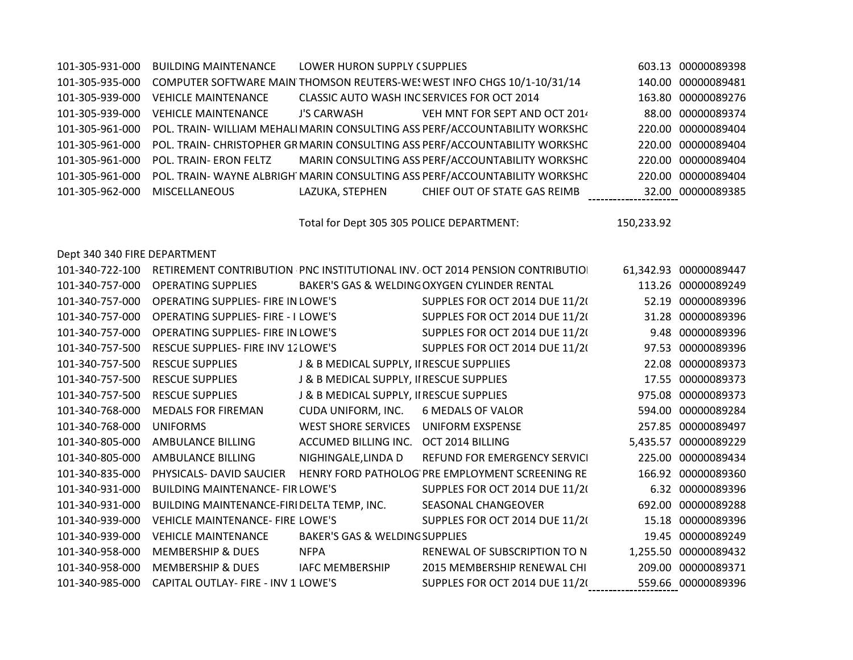| 101-305-931-000 | <b>BUILDING MAINTENANCE</b>                                                                | LOWER HURON SUPPLY (SUPPLIES |                                                  | 603.13 00000089398 |
|-----------------|--------------------------------------------------------------------------------------------|------------------------------|--------------------------------------------------|--------------------|
| 101-305-935-000 | COMPUTER SOFTWARE MAIN THOMSON REUTERS-WES WEST INFO CHGS 10/1-10/31/14                    |                              |                                                  | 140.00 00000089481 |
| 101-305-939-000 | <b>VEHICLE MAINTENANCE</b>                                                                 |                              | CLASSIC AUTO WASH INC SERVICES FOR OCT 2014      | 163.80 00000089276 |
| 101-305-939-000 | <b>VEHICLE MAINTENANCE</b>                                                                 | J'S CARWASH                  | VEH MNT FOR SEPT AND OCT 2014                    | 88.00 00000089374  |
| 101-305-961-000 | POL. TRAIN- WILLIAM MEHALI MARIN CONSULTING ASS PERF/ACCOUNTABILITY WORKSHC                |                              |                                                  | 220.00 00000089404 |
|                 | 101-305-961-000 POL. TRAIN- CHRISTOPHER GRMARIN CONSULTING ASS PERF/ACCOUNTABILITY WORKSHC |                              |                                                  | 220.00 00000089404 |
| 101-305-961-000 | POL. TRAIN- ERON FELTZ                                                                     |                              | MARIN CONSULTING ASS PERF/ACCOUNTABILITY WORKSHC | 220.00 00000089404 |
|                 | 101-305-961-000 POL. TRAIN- WAYNE ALBRIGH MARIN CONSULTING ASS PERF/ACCOUNTABILITY WORKSHC |                              |                                                  | 220.00 00000089404 |
| 101-305-962-000 | MISCELLANEOUS                                                                              |                              | LAZUKA, STEPHEN CHIEF OUT OF STATE GAS REIMB     | 32.00 00000089385  |

Total for Dept 305 305 POLICE DEPARTMENT: 150,233.92

## Dept 340 340 FIRE DEPARTMENT

| 101-340-722-100 |                                            |                                           | RETIREMENT CONTRIBUTION PNC INSTITUTIONAL INV. OCT 2014 PENSION CONTRIBUTIO |       | 61,342.93 00000089447 |
|-----------------|--------------------------------------------|-------------------------------------------|-----------------------------------------------------------------------------|-------|-----------------------|
| 101-340-757-000 | <b>OPERATING SUPPLIES</b>                  |                                           | BAKER'S GAS & WELDING OXYGEN CYLINDER RENTAL                                |       | 113.26 00000089249    |
| 101-340-757-000 | <b>OPERATING SUPPLIES- FIRE IN LOWE'S</b>  |                                           | SUPPLES FOR OCT 2014 DUE 11/20                                              |       | 52.19 00000089396     |
| 101-340-757-000 | <b>OPERATING SUPPLIES- FIRE - I LOWE'S</b> |                                           | SUPPLES FOR OCT 2014 DUE 11/2(                                              |       | 31.28 00000089396     |
| 101-340-757-000 | <b>OPERATING SUPPLIES- FIRE IN LOWE'S</b>  |                                           | SUPPLES FOR OCT 2014 DUE 11/2(                                              | 9.48  | 00000089396           |
| 101-340-757-500 | RESCUE SUPPLIES- FIRE INV 12 LOWE'S        |                                           | SUPPLES FOR OCT 2014 DUE 11/2(                                              |       | 97.53 00000089396     |
| 101-340-757-500 | <b>RESCUE SUPPLIES</b>                     | J & B MEDICAL SUPPLY, II RESCUE SUPPLIIES |                                                                             | 22.08 | 00000089373           |
| 101-340-757-500 | <b>RESCUE SUPPLIES</b>                     | J & B MEDICAL SUPPLY, II RESCUE SUPPLIES  |                                                                             |       | 17.55 00000089373     |
| 101-340-757-500 | <b>RESCUE SUPPLIES</b>                     | J & B MEDICAL SUPPLY, II RESCUE SUPPLIES  |                                                                             |       | 975.08 00000089373    |
| 101-340-768-000 | <b>MEDALS FOR FIREMAN</b>                  | CUDA UNIFORM, INC.                        | <b>6 MEDALS OF VALOR</b>                                                    |       | 594.00 00000089284    |
| 101-340-768-000 | <b>UNIFORMS</b>                            | <b>WEST SHORE SERVICES</b>                | UNIFORM EXSPENSE                                                            |       | 257.85 00000089497    |
| 101-340-805-000 | AMBULANCE BILLING                          | ACCUMED BILLING INC.                      | OCT 2014 BILLING                                                            |       | 5,435.57 00000089229  |
| 101-340-805-000 | <b>AMBULANCE BILLING</b>                   | NIGHINGALE, LINDA D                       | REFUND FOR EMERGENCY SERVICI                                                |       | 225.00 00000089434    |
| 101-340-835-000 | PHYSICALS- DAVID SAUCIER                   |                                           | HENRY FORD PATHOLOG PRE EMPLOYMENT SCREENING RE                             |       | 166.92 00000089360    |
| 101-340-931-000 | <b>BUILDING MAINTENANCE- FIR LOWE'S</b>    |                                           | SUPPLES FOR OCT 2014 DUE 11/2(                                              |       | 6.32 00000089396      |
| 101-340-931-000 | BUILDING MAINTENANCE-FIRI DELTA TEMP, INC. |                                           | SEASONAL CHANGEOVER                                                         |       | 692.00 00000089288    |
| 101-340-939-000 | <b>VEHICLE MAINTENANCE- FIRE LOWE'S</b>    |                                           | SUPPLES FOR OCT 2014 DUE 11/2(                                              |       | 15.18 00000089396     |
| 101-340-939-000 | <b>VEHICLE MAINTENANCE</b>                 | <b>BAKER'S GAS &amp; WELDING SUPPLIES</b> |                                                                             |       | 19.45 00000089249     |
| 101-340-958-000 | <b>MEMBERSHIP &amp; DUES</b>               | <b>NFPA</b>                               | RENEWAL OF SUBSCRIPTION TO N                                                |       | 1,255.50 00000089432  |
| 101-340-958-000 | <b>MEMBERSHIP &amp; DUES</b>               | <b>IAFC MEMBERSHIP</b>                    | 2015 MEMBERSHIP RENEWAL CHI                                                 |       | 209.00 00000089371    |
| 101-340-985-000 | CAPITAL OUTLAY- FIRE - INV 1 LOWE'S        |                                           | SUPPLES FOR OCT 2014 DUE 11/2(                                              |       | 559.66 00000089396    |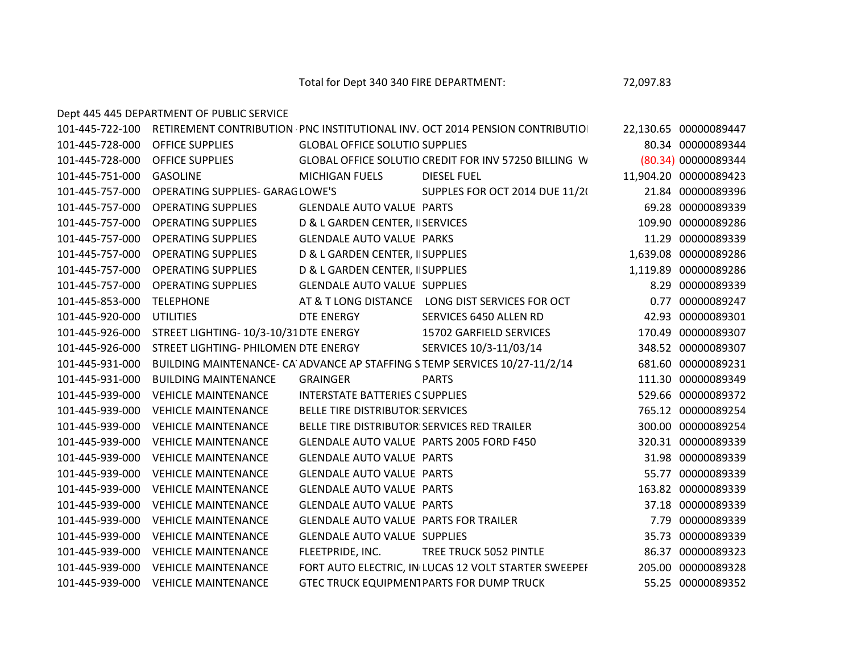Total for Dept 340 340 FIRE DEPARTMENT: 72,097.83

Dept 445 445 DEPARTMENT OF PUBLIC SERVICE

101-445-722-100 RETIREMENT CONTRIBUTION PNC INSTITUTIONAL INV. OCT 2014 PENSION CONTRIBUTION 22,130.65 00000089447 101-445-728-000 OFFICE SUPPLIES GLOBAL OFFICE SOLUTIONSSUPPLIES 80.34 00000089344 101-445-728-000 OFFICE SUPPLIES GLOBAL OFFICE SOLUTIONSCREDIT FOR INV 57250 BILLING WRONG DEPT(80.34) 00000089344 101-445-751-000 GASOLINE MICHIGAN FUELS DIESEL FUEL 11,904.20 00000089423 101-445-757-000 OPERATING SUPPLIES- GARAG LOWE'S SUPPLES FOR OCT 2014 DUE 11/20 21.84 00000089396 101-445-757-000 OPERATING SUPPLIES GLENDALE AUTO VALUE PARTS 69.28 00000089339 101-445-757-000 OPERATING SUPPLIES D& L GARDEN CENTER, IISERVICES 109.90 109.90 000000089286 101-445-757-000 OPERATING SUPPLIES GLENDALE AUTO VALUE PARKS 11.29 00000089339 11.29 101-445-757-000 OPERATING SUPPLIES D& L GARDEN CENTER, IISUPPLIES 1,639.08 00000089286 101-445-757-000 OPERATING SUPPLIES D& L GARDEN CENTER, IISUPPLIES 1,119.89 00000089286 101-445-757-000 OPERATING SUPPLIES GLENDALE AUTO VALUE SUPPLIES 8.29 00000089339 101-445-853-000 TELEPHONE AT & T LONG DISTANCE LONG DIST SERVICES FOR OCT 0.77 00000089247 101-445-920-000 UTILITIES DTE ENERGY SERVICES 6450 ALLEN RD 42.93 00000089301 101-445-926-000 STREET LIGHTING- 10/3-10/31DTE ENERGY 15702 GARFIELD SERVICES 170.49 00000089307 101-445-926-000 STREET LIGHTING- PHILOMENEDTE ENERGY SERVICES 10/3-11/03/14 348.52 00000089307 101-445-931-000 BUILDING MAINTENANCE- CA ADVANCE AP STAFFING STEMP SERVICES 10/27-11/2/14 681.60 00000089231 101-445-931-000 BUILDING MAINTENANCE GRAINGER PARTS 111.30 00000089349 101-445-939-000 VEHICLE MAINTENANCE INTERSTATE BATTERIES OF GREAT LAKES SUPPLIES 529.66 00000089372 101-445-939-000 VEHICLE MAINTENANCE BELLE TIRE DISTRIBUTORSSERVICES 765.12 00000089254 101-445-939-000 VEHICLE MAINTENANCE BELLE TIRE DISTRIBUTORSSERVICES RED TRAILER 300.00 00000089254 101-445-939-000 VEHICLE MAINTENANCE GLENDALE AUTO VALUE PARTS 2005 FORD F450 320.31 00000089339 101-445-939-000 VEHICLE MAINTENANCE GLENDALE AUTO VALUE PARTS 31.98 00000089339 101-445-939-000 VEHICLE MAINTENANCE GLENDALE AUTO VALUE PARTS 55.77 00000089339 101-445-939-000 VEHICLE MAINTENANCE GLENDALE AUTO VALUE PARTS 163.82 00000089339 101-445-939-000 VEHICLE MAINTENANCE GLENDALE AUTO VALUE PARTS 37.18 00000089339 101-445-939-000 VEHICLE MAINTENANCE GLENDALE AUTO VALUE PARTS FOR TRAILER 7.79 00000089339 101-445-939-000 VEHICLE MAINTENANCE GLENDALE AUTO VALUE SUPPLIES 35.73 00000089339 101-445-939-000 VEHICLE MAINTENANCE FLEETPRIDE, INC. TREE TRUCK 5052 PINTLE 86.37 00000089323 101-445-939-000 VEHICLE MAINTENANCE FORT AUTO ELECTRIC. IN LUCAS 12 VOLT STARTER SWEEPEF 205.00 00000089328 101-445-939-000 VEHICLE MAINTENANCE GTEC TRUCK EQUIPMENTPARTS FOR DUMP TRUCK 55.25 00000089352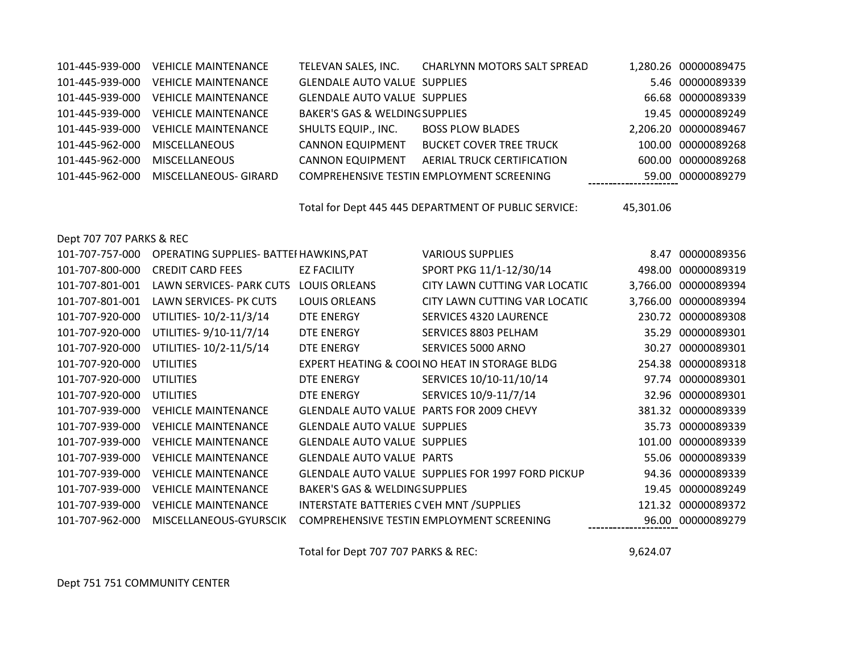| 101-445-939-000 | <b>VEHICLE MAINTENANCE</b> | TELEVAN SALES, INC.                       | <b>CHARLYNN MOTORS SALT SPREAD</b>        | 1,280.26 00000089475 |
|-----------------|----------------------------|-------------------------------------------|-------------------------------------------|----------------------|
| 101-445-939-000 | <b>VEHICLE MAINTENANCE</b> | <b>GLENDALE AUTO VALUE SUPPLIES</b>       |                                           | 5.46 00000089339     |
| 101-445-939-000 | <b>VEHICLE MAINTENANCE</b> | <b>GLENDALE AUTO VALUE SUPPLIES</b>       |                                           | 66.68 00000089339    |
| 101-445-939-000 | <b>VEHICLE MAINTENANCE</b> | <b>BAKER'S GAS &amp; WELDING SUPPLIES</b> |                                           | 19.45 00000089249    |
| 101-445-939-000 | <b>VEHICLE MAINTENANCE</b> | <b>SHULTS EQUIP., INC.</b>                | <b>BOSS PLOW BLADES</b>                   | 2,206.20 00000089467 |
| 101-445-962-000 | <b>MISCELLANEOUS</b>       | <b>CANNON EQUIPMENT</b>                   | <b>BUCKET COVER TREE TRUCK</b>            | 100.00 00000089268   |
| 101-445-962-000 | <b>MISCELLANEOUS</b>       | <b>CANNON EQUIPMENT</b>                   | AERIAL TRUCK CERTIFICATION                | 600.00 00000089268   |
| 101-445-962-000 | MISCELLANEOUS- GIRARD      |                                           | COMPREHENSIVE TESTIN EMPLOYMENT SCREENING | 59.00 00000089279    |

Total for Dept 445 445 DEPARTMENT OF PUBLIC SERVICE: 45,301.06

Dept 707 707 PARKS & REC

| 101-707-757-000 | OPERATING SUPPLIES- BATTEI HAWKINS, PAT |                                                 | <b>VARIOUS SUPPLIES</b>                           | 8.47     | 00000089356       |
|-----------------|-----------------------------------------|-------------------------------------------------|---------------------------------------------------|----------|-------------------|
| 101-707-800-000 | <b>CREDIT CARD FEES</b>                 | <b>EZ FACILITY</b>                              | SPORT PKG 11/1-12/30/14                           | 498.00   | 00000089319       |
| 101-707-801-001 | LAWN SERVICES- PARK CUTS                | <b>LOUIS ORLEANS</b>                            | CITY LAWN CUTTING VAR LOCATIC                     | 3,766.00 | 00000089394       |
| 101-707-801-001 | LAWN SERVICES- PK CUTS                  | <b>LOUIS ORLEANS</b>                            | CITY LAWN CUTTING VAR LOCATIC                     | 3,766.00 | 00000089394       |
| 101-707-920-000 | UTILITIES-10/2-11/3/14                  | DTE ENERGY                                      | <b>SERVICES 4320 LAURENCE</b>                     | 230.72   | 00000089308       |
| 101-707-920-000 | UTILITIES-9/10-11/7/14                  | DTE ENERGY                                      | SERVICES 8803 PELHAM                              | 35.29    | 00000089301       |
| 101-707-920-000 | UTILITIES-10/2-11/5/14                  | DTE ENERGY                                      | SERVICES 5000 ARNO                                | 30.27    | 00000089301       |
| 101-707-920-000 | <b>UTILITIES</b>                        |                                                 | EXPERT HEATING & COOLNO HEAT IN STORAGE BLDG      | 254.38   | 00000089318       |
| 101-707-920-000 | <b>UTILITIES</b>                        | DTE ENERGY                                      | SERVICES 10/10-11/10/14                           | 97.74    | 00000089301       |
| 101-707-920-000 | <b>UTILITIES</b>                        | DTE ENERGY                                      | SERVICES 10/9-11/7/14                             | 32.96    | 00000089301       |
| 101-707-939-000 | <b>VEHICLE MAINTENANCE</b>              | <b>GLENDALE AUTO VALUE PARTS FOR 2009 CHEVY</b> |                                                   | 381.32   | 00000089339       |
| 101-707-939-000 | <b>VEHICLE MAINTENANCE</b>              | <b>GLENDALE AUTO VALUE SUPPLIES</b>             |                                                   | 35.73    | 00000089339       |
| 101-707-939-000 | <b>VEHICLE MAINTENANCE</b>              | <b>GLENDALE AUTO VALUE SUPPLIES</b>             |                                                   | 101.00   | 00000089339       |
| 101-707-939-000 | <b>VEHICLE MAINTENANCE</b>              | <b>GLENDALE AUTO VALUE PARTS</b>                |                                                   |          | 55.06 00000089339 |
| 101-707-939-000 | <b>VEHICLE MAINTENANCE</b>              |                                                 | GLENDALE AUTO VALUE SUPPLIES FOR 1997 FORD PICKUP |          | 94.36 00000089339 |
| 101-707-939-000 | <b>VEHICLE MAINTENANCE</b>              | <b>BAKER'S GAS &amp; WELDING SUPPLIES</b>       |                                                   | 19.45    | 00000089249       |
| 101-707-939-000 | <b>VEHICLE MAINTENANCE</b>              | INTERSTATE BATTERIES C VEH MNT / SUPPLIES       |                                                   | 121.32   | 00000089372       |
| 101-707-962-000 | MISCELLANEOUS-GYURSCIK                  |                                                 | COMPREHENSIVE TESTIN EMPLOYMENT SCREENING         | 96.00    | 00000089279       |
|                 |                                         |                                                 |                                                   |          |                   |

Total for Dept 707 707 PARKS & REC: 9,624.07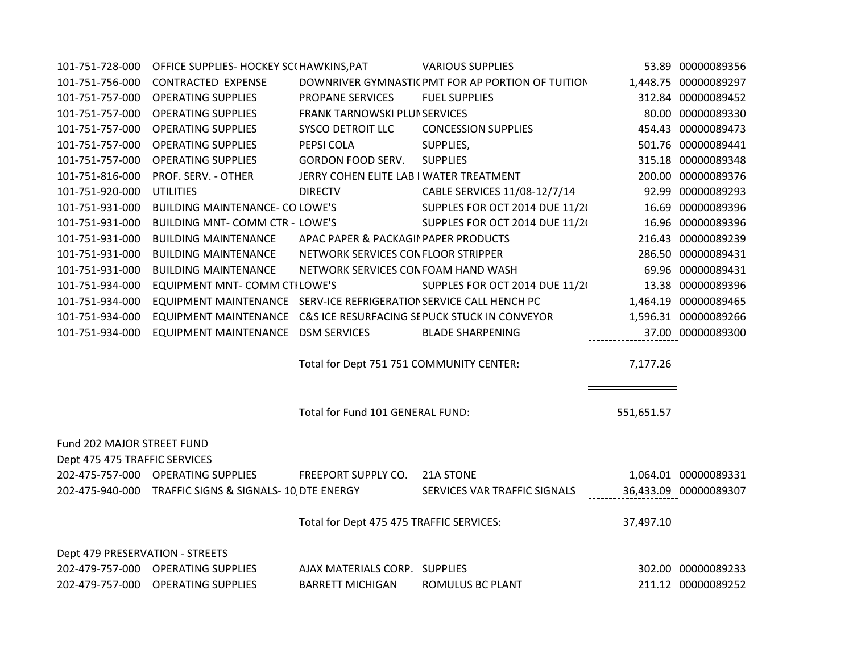| 101-751-728-000                 | OFFICE SUPPLIES- HOCKEY SC(HAWKINS, PAT                            |                                          | <b>VARIOUS SUPPLIES</b>                           |            | 53.89 00000089356     |
|---------------------------------|--------------------------------------------------------------------|------------------------------------------|---------------------------------------------------|------------|-----------------------|
| 101-751-756-000                 | <b>CONTRACTED EXPENSE</b>                                          |                                          | DOWNRIVER GYMNASTIC PMT FOR AP PORTION OF TUITION |            | 1,448.75 00000089297  |
| 101-751-757-000                 | <b>OPERATING SUPPLIES</b>                                          | <b>PROPANE SERVICES</b>                  | <b>FUEL SUPPLIES</b>                              |            | 312.84 00000089452    |
| 101-751-757-000                 | <b>OPERATING SUPPLIES</b>                                          | FRANK TARNOWSKI PLUNSERVICES             |                                                   |            | 80.00 00000089330     |
| 101-751-757-000                 | <b>OPERATING SUPPLIES</b>                                          | <b>SYSCO DETROIT LLC</b>                 | <b>CONCESSION SUPPLIES</b>                        |            | 454.43 00000089473    |
| 101-751-757-000                 | <b>OPERATING SUPPLIES</b>                                          | PEPSI COLA                               | SUPPLIES,                                         |            | 501.76 00000089441    |
| 101-751-757-000                 | <b>OPERATING SUPPLIES</b>                                          | <b>GORDON FOOD SERV.</b>                 | <b>SUPPLIES</b>                                   |            | 315.18 00000089348    |
| 101-751-816-000                 | PROF. SERV. - OTHER                                                | JERRY COHEN ELITE LAB I WATER TREATMENT  |                                                   |            | 200.00 00000089376    |
| 101-751-920-000                 | <b>UTILITIES</b>                                                   | <b>DIRECTV</b>                           | CABLE SERVICES 11/08-12/7/14                      |            | 92.99 00000089293     |
| 101-751-931-000                 | <b>BUILDING MAINTENANCE- CO LOWE'S</b>                             |                                          | SUPPLES FOR OCT 2014 DUE 11/2(                    |            | 16.69 00000089396     |
| 101-751-931-000                 | BUILDING MNT- COMM CTR - LOWE'S                                    |                                          | SUPPLES FOR OCT 2014 DUE 11/2(                    |            | 16.96 00000089396     |
| 101-751-931-000                 | <b>BUILDING MAINTENANCE</b>                                        | APAC PAPER & PACKAGIN PAPER PRODUCTS     |                                                   |            | 216.43 00000089239    |
| 101-751-931-000                 | <b>BUILDING MAINTENANCE</b>                                        | NETWORK SERVICES CONFLOOR STRIPPER       |                                                   |            | 286.50 00000089431    |
| 101-751-931-000                 | <b>BUILDING MAINTENANCE</b>                                        | NETWORK SERVICES CONFOAM HAND WASH       |                                                   |            | 69.96 00000089431     |
| 101-751-934-000                 | <b>EQUIPMENT MNT- COMM CTILOWE'S</b>                               |                                          | SUPPLES FOR OCT 2014 DUE 11/2(                    |            | 13.38 00000089396     |
| 101-751-934-000                 | EQUIPMENT MAINTENANCE SERV-ICE REFRIGERATION SERVICE CALL HENCH PC |                                          |                                                   |            | 1,464.19 00000089465  |
| 101-751-934-000                 | EQUIPMENT MAINTENANCE C&S ICE RESURFACING SEPUCK STUCK IN CONVEYOR |                                          |                                                   |            | 1,596.31 00000089266  |
| 101-751-934-000                 | <b>EQUIPMENT MAINTENANCE</b>                                       | <b>DSM SERVICES</b>                      | <b>BLADE SHARPENING</b>                           |            | 37.00 00000089300     |
|                                 |                                                                    | Total for Dept 751 751 COMMUNITY CENTER: |                                                   | 7,177.26   |                       |
|                                 |                                                                    | Total for Fund 101 GENERAL FUND:         |                                                   | 551,651.57 |                       |
| Fund 202 MAJOR STREET FUND      |                                                                    |                                          |                                                   |            |                       |
| Dept 475 475 TRAFFIC SERVICES   |                                                                    |                                          |                                                   |            |                       |
|                                 | 202-475-757-000 OPERATING SUPPLIES                                 | FREEPORT SUPPLY CO. 21A STONE            |                                                   |            | 1,064.01 00000089331  |
|                                 | 202-475-940-000 TRAFFIC SIGNS & SIGNALS-10 DTE ENERGY              |                                          | SERVICES VAR TRAFFIC SIGNALS                      |            | 36,433.09 00000089307 |
|                                 |                                                                    | Total for Dept 475 475 TRAFFIC SERVICES: |                                                   | 37,497.10  |                       |
| Dept 479 PRESERVATION - STREETS |                                                                    |                                          |                                                   |            |                       |
|                                 | 202-479-757-000 OPERATING SUPPLIES                                 | AJAX MATERIALS CORP. SUPPLIES            |                                                   |            | 302.00 00000089233    |
|                                 | 202-479-757-000 OPERATING SUPPLIES                                 | <b>BARRETT MICHIGAN</b>                  | ROMULUS BC PLANT                                  |            | 211.12 00000089252    |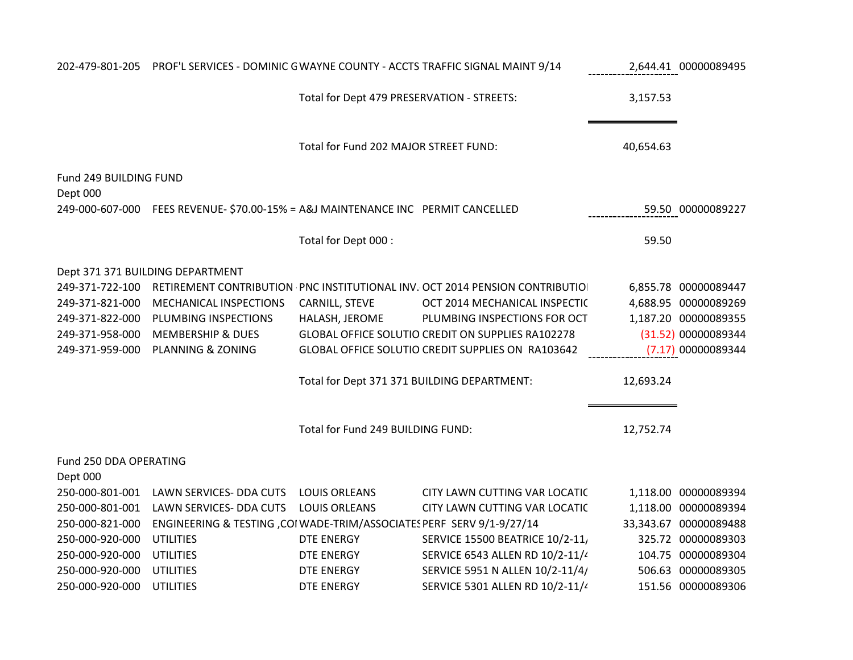|                        | 202-479-801-205 PROF'L SERVICES - DOMINIC GWAYNE COUNTY - ACCTS TRAFFIC SIGNAL MAINT 9/14 |                                             |                                                                             |           | 2,644.41 00000089495  |
|------------------------|-------------------------------------------------------------------------------------------|---------------------------------------------|-----------------------------------------------------------------------------|-----------|-----------------------|
|                        |                                                                                           | Total for Dept 479 PRESERVATION - STREETS:  |                                                                             | 3,157.53  |                       |
|                        |                                                                                           | Total for Fund 202 MAJOR STREET FUND:       |                                                                             | 40,654.63 |                       |
| Fund 249 BUILDING FUND |                                                                                           |                                             |                                                                             |           |                       |
| Dept 000               |                                                                                           |                                             |                                                                             |           |                       |
|                        | 249-000-607-000 FEES REVENUE- \$70.00-15% = A&J MAINTENANCE INC PERMIT CANCELLED          |                                             |                                                                             |           | 59.50 00000089227     |
|                        |                                                                                           | Total for Dept 000 :                        |                                                                             | 59.50     |                       |
|                        | Dept 371 371 BUILDING DEPARTMENT                                                          |                                             |                                                                             |           |                       |
| 249-371-722-100        |                                                                                           |                                             | RETIREMENT CONTRIBUTION PNC INSTITUTIONAL INV. OCT 2014 PENSION CONTRIBUTIO |           | 6,855.78 00000089447  |
| 249-371-821-000        | MECHANICAL INSPECTIONS                                                                    | CARNILL, STEVE                              | OCT 2014 MECHANICAL INSPECTIC                                               |           | 4,688.95 00000089269  |
| 249-371-822-000        | PLUMBING INSPECTIONS                                                                      | HALASH, JEROME                              | PLUMBING INSPECTIONS FOR OCT                                                |           | 1,187.20 00000089355  |
| 249-371-958-000        | <b>MEMBERSHIP &amp; DUES</b>                                                              |                                             | GLOBAL OFFICE SOLUTIO CREDIT ON SUPPLIES RA102278                           |           | (31.52) 00000089344   |
|                        | 249-371-959-000 PLANNING & ZONING                                                         |                                             | GLOBAL OFFICE SOLUTIO CREDIT SUPPLIES ON RA103642                           |           | (7.17) 00000089344    |
|                        |                                                                                           | Total for Dept 371 371 BUILDING DEPARTMENT: |                                                                             | 12,693.24 |                       |
|                        |                                                                                           | Total for Fund 249 BUILDING FUND:           |                                                                             | 12,752.74 |                       |
| Fund 250 DDA OPERATING |                                                                                           |                                             |                                                                             |           |                       |
| Dept 000               |                                                                                           |                                             |                                                                             |           |                       |
|                        | 250-000-801-001 LAWN SERVICES- DDA CUTS                                                   | <b>LOUIS ORLEANS</b>                        | CITY LAWN CUTTING VAR LOCATIC                                               |           | 1,118.00 00000089394  |
| 250-000-801-001        | LAWN SERVICES- DDA CUTS                                                                   | <b>LOUIS ORLEANS</b>                        | CITY LAWN CUTTING VAR LOCATIC                                               |           | 1,118.00 00000089394  |
| 250-000-821-000        | ENGINEERING & TESTING , COI WADE-TRIM/ASSOCIATES PERF SERV 9/1-9/27/14                    |                                             |                                                                             |           | 33,343.67 00000089488 |
| 250-000-920-000        | <b>UTILITIES</b>                                                                          | <b>DTE ENERGY</b>                           | <b>SERVICE 15500 BEATRICE 10/2-11,</b>                                      |           | 325.72 00000089303    |
| 250-000-920-000        | <b>UTILITIES</b>                                                                          | <b>DTE ENERGY</b>                           | SERVICE 6543 ALLEN RD 10/2-11/4                                             |           | 104.75 00000089304    |
| 250-000-920-000        | <b>UTILITIES</b>                                                                          | DTE ENERGY                                  | SERVICE 5951 N ALLEN 10/2-11/4/                                             |           | 506.63 00000089305    |
| 250-000-920-000        | <b>UTILITIES</b>                                                                          | <b>DTE ENERGY</b>                           | SERVICE 5301 ALLEN RD 10/2-11/4                                             |           | 151.56 00000089306    |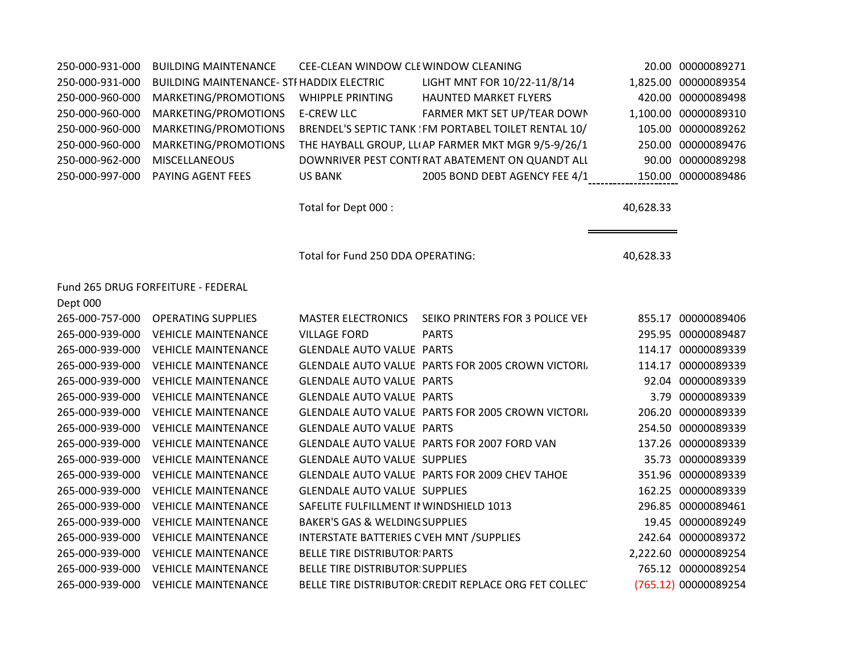| 250-000-931-000 | <b>BUILDING MAINTENANCE</b>                      | CEE-CLEAN WINDOW CLEWINDOW CLEANING       |                                                       |           | 20.00 00000089271    |
|-----------------|--------------------------------------------------|-------------------------------------------|-------------------------------------------------------|-----------|----------------------|
| 250-000-931-000 | <b>BUILDING MAINTENANCE- STI HADDIX ELECTRIC</b> |                                           | LIGHT MNT FOR 10/22-11/8/14                           |           | 1,825.00 00000089354 |
| 250-000-960-000 | MARKETING/PROMOTIONS                             | <b>WHIPPLE PRINTING</b>                   | <b>HAUNTED MARKET FLYERS</b>                          |           | 420.00 00000089498   |
| 250-000-960-000 | MARKETING/PROMOTIONS                             | <b>E-CREW LLC</b>                         | FARMER MKT SET UP/TEAR DOWN                           |           | 1,100.00 00000089310 |
| 250-000-960-000 | MARKETING/PROMOTIONS                             |                                           | BRENDEL'S SEPTIC TANK : FM PORTABEL TOILET RENTAL 10/ |           | 105.00 00000089262   |
| 250-000-960-000 | MARKETING/PROMOTIONS                             |                                           | THE HAYBALL GROUP, LLIAP FARMER MKT MGR 9/5-9/26/1    |           | 250.00 00000089476   |
| 250-000-962-000 | <b>MISCELLANEOUS</b>                             |                                           | DOWNRIVER PEST CONTI RAT ABATEMENT ON QUANDT ALL      |           | 90.00 00000089298    |
| 250-000-997-000 | PAYING AGENT FEES                                | <b>US BANK</b>                            | 2005 BOND DEBT AGENCY FEE 4/1                         |           | 150.00 00000089486   |
|                 |                                                  |                                           |                                                       |           |                      |
|                 |                                                  | Total for Dept 000 :                      |                                                       | 40,628.33 |                      |
|                 |                                                  |                                           |                                                       |           |                      |
|                 |                                                  | Total for Fund 250 DDA OPERATING:         |                                                       | 40,628.33 |                      |
|                 | Fund 265 DRUG FORFEITURE - FEDERAL               |                                           |                                                       |           |                      |
| Dept 000        |                                                  |                                           |                                                       |           |                      |
| 265-000-757-000 | <b>OPERATING SUPPLIES</b>                        | <b>MASTER ELECTRONICS</b>                 | SEIKO PRINTERS FOR 3 POLICE VEH                       |           | 855.17 00000089406   |
| 265-000-939-000 | <b>VEHICLE MAINTENANCE</b>                       | <b>VILLAGE FORD</b>                       | <b>PARTS</b>                                          |           | 295.95 00000089487   |
| 265-000-939-000 | <b>VEHICLE MAINTENANCE</b>                       | <b>GLENDALE AUTO VALUE PARTS</b>          |                                                       |           | 114.17 00000089339   |
| 265-000-939-000 | <b>VEHICLE MAINTENANCE</b>                       |                                           | GLENDALE AUTO VALUE PARTS FOR 2005 CROWN VICTORI.     |           | 114.17 00000089339   |
| 265-000-939-000 | <b>VEHICLE MAINTENANCE</b>                       | <b>GLENDALE AUTO VALUE PARTS</b>          |                                                       |           | 92.04 00000089339    |
| 265-000-939-000 | <b>VEHICLE MAINTENANCE</b>                       | <b>GLENDALE AUTO VALUE PARTS</b>          |                                                       |           | 3.79 00000089339     |
| 265-000-939-000 | <b>VEHICLE MAINTENANCE</b>                       |                                           | GLENDALE AUTO VALUE PARTS FOR 2005 CROWN VICTORI.     |           | 206.20 00000089339   |
| 265-000-939-000 | <b>VEHICLE MAINTENANCE</b>                       | <b>GLENDALE AUTO VALUE PARTS</b>          |                                                       |           | 254.50 00000089339   |
| 265-000-939-000 | <b>VEHICLE MAINTENANCE</b>                       |                                           | GLENDALE AUTO VALUE PARTS FOR 2007 FORD VAN           |           | 137.26 00000089339   |
| 265-000-939-000 | <b>VEHICLE MAINTENANCE</b>                       | <b>GLENDALE AUTO VALUE SUPPLIES</b>       |                                                       |           | 35.73 00000089339    |
| 265-000-939-000 | <b>VEHICLE MAINTENANCE</b>                       |                                           | GLENDALE AUTO VALUE PARTS FOR 2009 CHEV TAHOE         |           | 351.96 00000089339   |
| 265-000-939-000 | <b>VEHICLE MAINTENANCE</b>                       | <b>GLENDALE AUTO VALUE SUPPLIES</b>       |                                                       |           | 162.25 00000089339   |
| 265-000-939-000 | <b>VEHICLE MAINTENANCE</b>                       | SAFELITE FULFILLMENT II WINDSHIELD 1013   |                                                       |           | 296.85 00000089461   |
| 265-000-939-000 | <b>VEHICLE MAINTENANCE</b>                       | <b>BAKER'S GAS &amp; WELDING SUPPLIES</b> |                                                       |           | 19.45 00000089249    |
| 265-000-939-000 | <b>VEHICLE MAINTENANCE</b>                       | INTERSTATE BATTERIES CVEH MNT / SUPPLIES  |                                                       |           | 242.64 00000089372   |
| 265-000-939-000 | <b>VEHICLE MAINTENANCE</b>                       | <b>BELLE TIRE DISTRIBUTOR: PARTS</b>      |                                                       |           | 2,222.60 00000089254 |
| 265-000-939-000 | <b>VEHICLE MAINTENANCE</b>                       | <b>BELLE TIRE DISTRIBUTOR: SUPPLIES</b>   |                                                       |           | 765.12 00000089254   |
| 265-000-939-000 | <b>VEHICLE MAINTENANCE</b>                       |                                           | BELLE TIRE DISTRIBUTOR CREDIT REPLACE ORG FET COLLECT |           | (765.12) 00000089254 |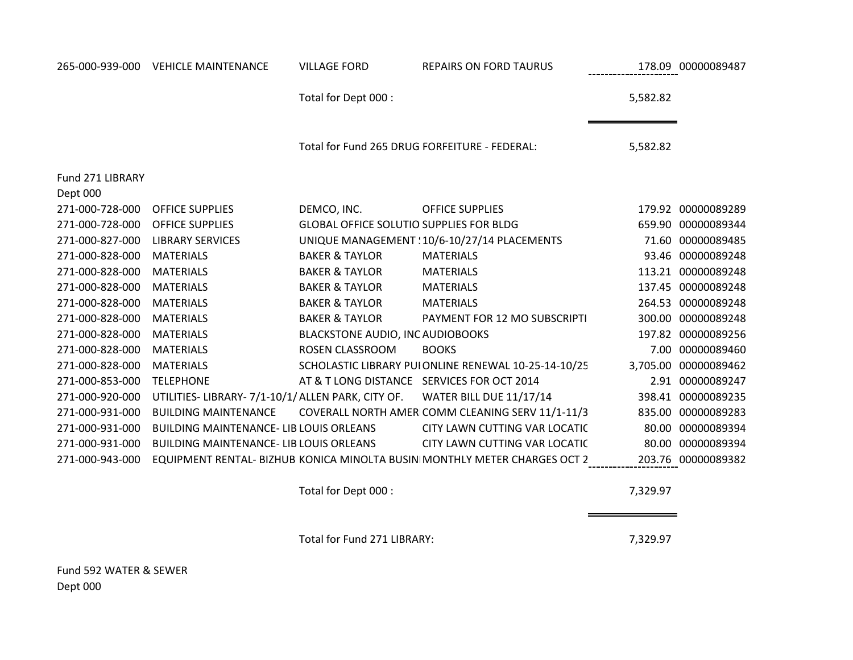| 265-000-939-000              | <b>VEHICLE MAINTENANCE</b>                         | <b>VILLAGE FORD</b>                            | <b>REPAIRS ON FORD TAURUS</b>                                             |          | 178.09 00000089487   |
|------------------------------|----------------------------------------------------|------------------------------------------------|---------------------------------------------------------------------------|----------|----------------------|
|                              |                                                    | Total for Dept 000 :                           |                                                                           | 5,582.82 |                      |
|                              |                                                    | Total for Fund 265 DRUG FORFEITURE - FEDERAL:  |                                                                           | 5,582.82 |                      |
| Fund 271 LIBRARY<br>Dept 000 |                                                    |                                                |                                                                           |          |                      |
| 271-000-728-000              | <b>OFFICE SUPPLIES</b>                             | DEMCO, INC.                                    | <b>OFFICE SUPPLIES</b>                                                    |          | 179.92 00000089289   |
| 271-000-728-000              | <b>OFFICE SUPPLIES</b>                             | <b>GLOBAL OFFICE SOLUTIO SUPPLIES FOR BLDG</b> |                                                                           |          | 659.90 00000089344   |
| 271-000-827-000              | <b>LIBRARY SERVICES</b>                            |                                                | UNIQUE MANAGEMENT : 10/6-10/27/14 PLACEMENTS                              |          | 71.60 00000089485    |
| 271-000-828-000              | <b>MATERIALS</b>                                   | <b>BAKER &amp; TAYLOR</b>                      | <b>MATERIALS</b>                                                          |          | 93.46 00000089248    |
| 271-000-828-000              | <b>MATERIALS</b>                                   | <b>BAKER &amp; TAYLOR</b>                      | <b>MATERIALS</b>                                                          |          | 113.21 00000089248   |
| 271-000-828-000              | <b>MATERIALS</b>                                   | <b>BAKER &amp; TAYLOR</b>                      | <b>MATERIALS</b>                                                          |          | 137.45 00000089248   |
| 271-000-828-000              | <b>MATERIALS</b>                                   | <b>BAKER &amp; TAYLOR</b>                      | <b>MATERIALS</b>                                                          |          | 264.53 00000089248   |
| 271-000-828-000              | <b>MATERIALS</b>                                   | <b>BAKER &amp; TAYLOR</b>                      | PAYMENT FOR 12 MO SUBSCRIPTI                                              |          | 300.00 00000089248   |
| 271-000-828-000              | <b>MATERIALS</b>                                   | <b>BLACKSTONE AUDIO, INC AUDIOBOOKS</b>        |                                                                           |          | 197.82 00000089256   |
| 271-000-828-000              | <b>MATERIALS</b>                                   | ROSEN CLASSROOM                                | <b>BOOKS</b>                                                              |          | 7.00 00000089460     |
| 271-000-828-000              | <b>MATERIALS</b>                                   |                                                | SCHOLASTIC LIBRARY PUI ONLINE RENEWAL 10-25-14-10/25                      |          | 3,705.00 00000089462 |
| 271-000-853-000              | <b>TELEPHONE</b>                                   | AT & T LONG DISTANCE SERVICES FOR OCT 2014     |                                                                           |          | 2.91 00000089247     |
| 271-000-920-000              | UTILITIES- LIBRARY- 7/1-10/1/ ALLEN PARK, CITY OF. |                                                | <b>WATER BILL DUE 11/17/14</b>                                            |          | 398.41 00000089235   |
| 271-000-931-000              | <b>BUILDING MAINTENANCE</b>                        |                                                | COVERALL NORTH AMER COMM CLEANING SERV 11/1-11/3                          |          | 835.00 00000089283   |
| 271-000-931-000              | <b>BUILDING MAINTENANCE- LIB LOUIS ORLEANS</b>     |                                                | CITY LAWN CUTTING VAR LOCATIC                                             |          | 80.00 00000089394    |
| 271-000-931-000              | <b>BUILDING MAINTENANCE- LIB LOUIS ORLEANS</b>     |                                                | CITY LAWN CUTTING VAR LOCATIC                                             | 80.00    | 00000089394          |
| 271-000-943-000              |                                                    |                                                | EQUIPMENT RENTAL- BIZHUB KONICA MINOLTA BUSIN MONTHLY METER CHARGES OCT 2 |          | 203.76 00000089382   |

Total for Dept 000 : 7,329.97

Total for Fund 271 LIBRARY: 7,329.97

Fund 592 WATER & SEWER Dept 000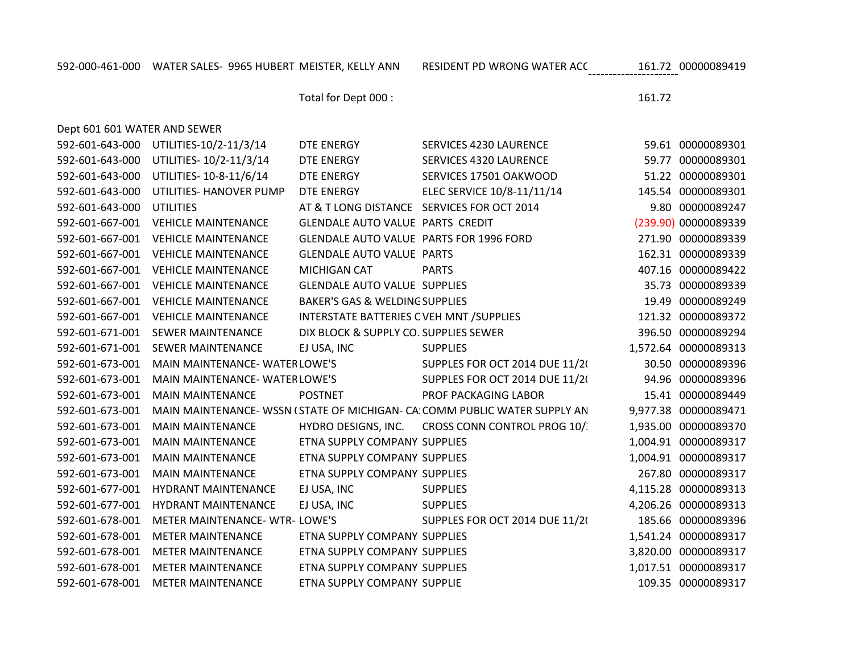Dept 601 601 WATER AND SEWER

Total for Dept 000 : 161.72

| 592-601-643-000 | UTILITIES-10/2-11/3/14                | <b>DTE ENERGY</b>                         | <b>SERVICES 4230 LAURENCE</b>                                              | 59.61 00000089301    |
|-----------------|---------------------------------------|-------------------------------------------|----------------------------------------------------------------------------|----------------------|
| 592-601-643-000 | UTILITIES-10/2-11/3/14                | <b>DTE ENERGY</b>                         | SERVICES 4320 LAURENCE                                                     | 59.77 00000089301    |
| 592-601-643-000 | UTILITIES-10-8-11/6/14                | DTE ENERGY                                | SERVICES 17501 OAKWOOD                                                     | 51.22 00000089301    |
| 592-601-643-000 | UTILITIES- HANOVER PUMP               | <b>DTE ENERGY</b>                         | ELEC SERVICE 10/8-11/11/14                                                 | 145.54 00000089301   |
| 592-601-643-000 | <b>UTILITIES</b>                      |                                           | AT & T LONG DISTANCE SERVICES FOR OCT 2014                                 | 9.80 00000089247     |
| 592-601-667-001 | <b>VEHICLE MAINTENANCE</b>            | GLENDALE AUTO VALUE PARTS CREDIT          |                                                                            | (239.90) 00000089339 |
| 592-601-667-001 | <b>VEHICLE MAINTENANCE</b>            | GLENDALE AUTO VALUE PARTS FOR 1996 FORD   |                                                                            | 271.90 00000089339   |
| 592-601-667-001 | <b>VEHICLE MAINTENANCE</b>            | <b>GLENDALE AUTO VALUE PARTS</b>          |                                                                            | 162.31 00000089339   |
| 592-601-667-001 | <b>VEHICLE MAINTENANCE</b>            | MICHIGAN CAT                              | <b>PARTS</b>                                                               | 407.16 00000089422   |
| 592-601-667-001 | <b>VEHICLE MAINTENANCE</b>            | <b>GLENDALE AUTO VALUE SUPPLIES</b>       |                                                                            | 35.73 00000089339    |
| 592-601-667-001 | <b>VEHICLE MAINTENANCE</b>            | <b>BAKER'S GAS &amp; WELDING SUPPLIES</b> |                                                                            | 19.49 00000089249    |
| 592-601-667-001 | <b>VEHICLE MAINTENANCE</b>            | INTERSTATE BATTERIES C VEH MNT / SUPPLIES |                                                                            | 121.32 00000089372   |
| 592-601-671-001 | <b>SEWER MAINTENANCE</b>              | DIX BLOCK & SUPPLY CO. SUPPLIES SEWER     |                                                                            | 396.50 00000089294   |
| 592-601-671-001 | <b>SEWER MAINTENANCE</b>              | EJ USA, INC                               | <b>SUPPLIES</b>                                                            | 1,572.64 00000089313 |
| 592-601-673-001 | MAIN MAINTENANCE-WATERLOWE'S          |                                           | SUPPLES FOR OCT 2014 DUE 11/20                                             | 30.50 00000089396    |
| 592-601-673-001 | MAIN MAINTENANCE-WATERLOWE'S          |                                           | SUPPLES FOR OCT 2014 DUE 11/2(                                             | 94.96 00000089396    |
| 592-601-673-001 | <b>MAIN MAINTENANCE</b>               | <b>POSTNET</b>                            | PROF PACKAGING LABOR                                                       | 15.41 00000089449    |
| 592-601-673-001 |                                       |                                           | MAIN MAINTENANCE- WSSN (STATE OF MICHIGAN- CA: COMM PUBLIC WATER SUPPLY AN | 9,977.38 00000089471 |
| 592-601-673-001 | <b>MAIN MAINTENANCE</b>               |                                           | HYDRO DESIGNS, INC. CROSS CONN CONTROL PROG 10/                            | 1,935.00 00000089370 |
| 592-601-673-001 | <b>MAIN MAINTENANCE</b>               | ETNA SUPPLY COMPANY SUPPLIES              |                                                                            | 1,004.91 00000089317 |
| 592-601-673-001 | <b>MAIN MAINTENANCE</b>               | ETNA SUPPLY COMPANY SUPPLIES              |                                                                            | 1,004.91 00000089317 |
| 592-601-673-001 | <b>MAIN MAINTENANCE</b>               | ETNA SUPPLY COMPANY SUPPLIES              |                                                                            | 267.80 00000089317   |
| 592-601-677-001 | HYDRANT MAINTENANCE                   | EJ USA, INC                               | <b>SUPPLIES</b>                                                            | 4,115.28 00000089313 |
| 592-601-677-001 | <b>HYDRANT MAINTENANCE</b>            | EJ USA, INC                               | <b>SUPPLIES</b>                                                            | 4,206.26 00000089313 |
| 592-601-678-001 | <b>METER MAINTENANCE- WTR- LOWE'S</b> |                                           | SUPPLES FOR OCT 2014 DUE 11/20                                             | 185.66 00000089396   |
| 592-601-678-001 | <b>METER MAINTENANCE</b>              | ETNA SUPPLY COMPANY SUPPLIES              |                                                                            | 1,541.24 00000089317 |
| 592-601-678-001 | <b>METER MAINTENANCE</b>              | ETNA SUPPLY COMPANY SUPPLIES              |                                                                            | 3,820.00 00000089317 |
| 592-601-678-001 | <b>METER MAINTENANCE</b>              | ETNA SUPPLY COMPANY SUPPLIES              |                                                                            | 1,017.51 00000089317 |
| 592-601-678-001 | <b>METER MAINTENANCE</b>              | ETNA SUPPLY COMPANY SUPPLIE               |                                                                            | 109.35 00000089317   |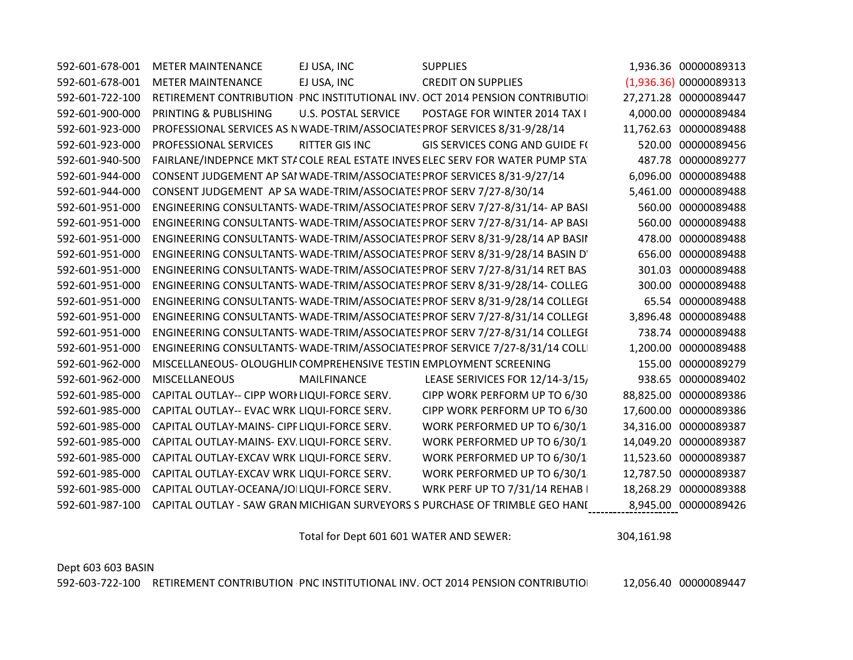| 592-601-678-001 | <b>METER MAINTENANCE</b>                                            | EJ USA, INC                | <b>SUPPLIES</b>                                                              |        | 1,936.36 00000089313   |
|-----------------|---------------------------------------------------------------------|----------------------------|------------------------------------------------------------------------------|--------|------------------------|
| 592-601-678-001 | <b>METER MAINTENANCE</b>                                            | EJ USA, INC                | <b>CREDIT ON SUPPLIES</b>                                                    |        | (1,936.36) 00000089313 |
| 592-601-722-100 |                                                                     |                            | RETIREMENT CONTRIBUTION PNC INSTITUTIONAL INV. OCT 2014 PENSION CONTRIBUTIO  |        | 27,271.28 00000089447  |
| 592-601-900-000 | PRINTING & PUBLISHING                                               | <b>U.S. POSTAL SERVICE</b> | POSTAGE FOR WINTER 2014 TAX I                                                |        | 4,000.00 00000089484   |
| 592-601-923-000 |                                                                     |                            | PROFESSIONAL SERVICES AS NWADE-TRIM/ASSOCIATES PROF SERVICES 8/31-9/28/14    |        | 11,762.63 00000089488  |
| 592-601-923-000 | PROFESSIONAL SERVICES                                               | <b>RITTER GIS INC</b>      | <b>GIS SERVICES CONG AND GUIDE F(</b>                                        |        | 520.00 00000089456     |
| 592-601-940-500 |                                                                     |                            | FAIRLANE/INDEPNCE MKT STACOLE REAL ESTATE INVES ELEC SERV FOR WATER PUMP STA |        | 487.78 00000089277     |
| 592-601-944-000 |                                                                     |                            | CONSENT JUDGEMENT AP SAI WADE-TRIM/ASSOCIATES PROF SERVICES 8/31-9/27/14     |        | 6,096.00 00000089488   |
| 592-601-944-000 | CONSENT JUDGEMENT AP SA WADE-TRIM/ASSOCIATES PROF SERV 7/27-8/30/14 |                            |                                                                              |        | 5,461.00 00000089488   |
| 592-601-951-000 |                                                                     |                            | ENGINEERING CONSULTANTS-WADE-TRIM/ASSOCIATES PROF SERV 7/27-8/31/14- AP BASI |        | 560.00 00000089488     |
| 592-601-951-000 |                                                                     |                            | ENGINEERING CONSULTANTS-WADE-TRIM/ASSOCIATES PROF SERV 7/27-8/31/14- AP BASI |        | 560.00 00000089488     |
| 592-601-951-000 |                                                                     |                            | ENGINEERING CONSULTANTS-WADE-TRIM/ASSOCIATES PROF SERV 8/31-9/28/14 AP BASII |        | 478.00 00000089488     |
| 592-601-951-000 |                                                                     |                            | ENGINEERING CONSULTANTS-WADE-TRIM/ASSOCIATES PROF SERV 8/31-9/28/14 BASIN D' | 656.00 | 00000089488            |
| 592-601-951-000 |                                                                     |                            | ENGINEERING CONSULTANTS-WADE-TRIM/ASSOCIATES PROF SERV 7/27-8/31/14 RET BAS  | 301.03 | 00000089488            |
| 592-601-951-000 |                                                                     |                            | ENGINEERING CONSULTANTS-WADE-TRIM/ASSOCIATES PROF SERV 8/31-9/28/14- COLLEG  |        | 300.00 00000089488     |
| 592-601-951-000 |                                                                     |                            | ENGINEERING CONSULTANTS-WADE-TRIM/ASSOCIATES PROF SERV 8/31-9/28/14 COLLEGI  |        | 65.54 00000089488      |
| 592-601-951-000 |                                                                     |                            | ENGINEERING CONSULTANTS-WADE-TRIM/ASSOCIATES PROF SERV 7/27-8/31/14 COLLEGI  |        | 3,896.48 00000089488   |
| 592-601-951-000 |                                                                     |                            | ENGINEERING CONSULTANTS-WADE-TRIM/ASSOCIATES PROF SERV 7/27-8/31/14 COLLEGI  |        | 738.74 00000089488     |
| 592-601-951-000 |                                                                     |                            | ENGINEERING CONSULTANTS-WADE-TRIM/ASSOCIATES PROF SERVICE 7/27-8/31/14 COLL  |        | 1,200.00 00000089488   |
| 592-601-962-000 | MISCELLANEOUS- OLOUGHLIN COMPREHENSIVE TESTIN EMPLOYMENT SCREENING  |                            |                                                                              | 155.00 | 00000089279            |
| 592-601-962-000 | <b>MISCELLANEOUS</b>                                                | MAILFINANCE                | LEASE SERIVICES FOR 12/14-3/15,                                              |        | 938.65 00000089402     |
| 592-601-985-000 | CAPITAL OUTLAY-- CIPP WORI LIQUI-FORCE SERV.                        |                            | CIPP WORK PERFORM UP TO 6/30                                                 |        | 88,825.00 00000089386  |
| 592-601-985-000 | CAPITAL OUTLAY-- EVAC WRK LIQUI-FORCE SERV.                         |                            | CIPP WORK PERFORM UP TO 6/30                                                 |        | 17,600.00 00000089386  |
| 592-601-985-000 | CAPITAL OUTLAY-MAINS- CIPF LIQUI-FORCE SERV.                        |                            | WORK PERFORMED UP TO 6/30/1                                                  |        | 34,316.00 00000089387  |
| 592-601-985-000 | CAPITAL OUTLAY-MAINS- EXV. LIQUI-FORCE SERV.                        |                            | WORK PERFORMED UP TO 6/30/1                                                  |        | 14,049.20 00000089387  |
| 592-601-985-000 | CAPITAL OUTLAY-EXCAV WRK LIQUI-FORCE SERV.                          |                            | WORK PERFORMED UP TO 6/30/1                                                  |        | 11,523.60 00000089387  |
| 592-601-985-000 | CAPITAL OUTLAY-EXCAV WRK LIQUI-FORCE SERV.                          |                            | WORK PERFORMED UP TO 6/30/1                                                  |        | 12,787.50 00000089387  |
| 592-601-985-000 | CAPITAL OUTLAY-OCEANA/JOILIQUI-FORCE SERV.                          |                            | WRK PERF UP TO 7/31/14 REHAB I                                               |        | 18,268.29 00000089388  |
| 592-601-987-100 |                                                                     |                            | CAPITAL OUTLAY - SAW GRAN MICHIGAN SURVEYORS S PURCHASE OF TRIMBLE GEO HANI  |        | 8,945.00 00000089426   |

Total for Dept 601 601 WATER AND SEWER: 304,161.98

Dept 603 603 BASIN

592-603-722-100 RETIREMENT CONTRIBUTION PNC INSTITUTIONAL INV. OCT 2014 PENSION CONTRIBUTION 12,056.40 00000089447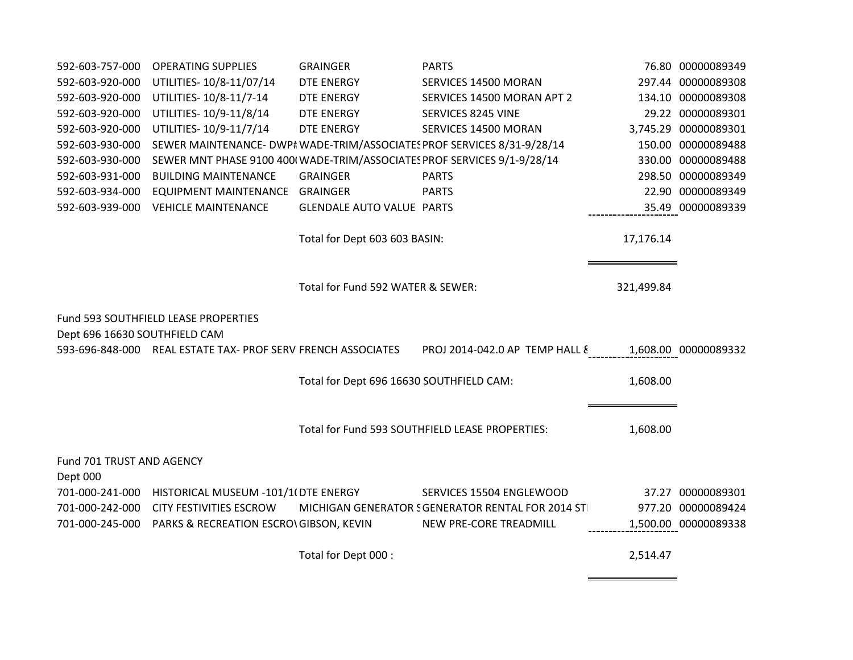| 592-603-757-000                       | <b>OPERATING SUPPLIES</b>                                               | <b>GRAINGER</b>                          | <b>PARTS</b>                                                            |            | 76.80 00000089349    |
|---------------------------------------|-------------------------------------------------------------------------|------------------------------------------|-------------------------------------------------------------------------|------------|----------------------|
| 592-603-920-000                       | UTILITIES-10/8-11/07/14                                                 | DTE ENERGY                               | SERVICES 14500 MORAN                                                    |            | 297.44 00000089308   |
| 592-603-920-000                       | UTILITIES-10/8-11/7-14                                                  | DTE ENERGY                               | SERVICES 14500 MORAN APT 2                                              |            | 134.10 00000089308   |
| 592-603-920-000                       | UTILITIES-10/9-11/8/14                                                  | DTE ENERGY                               | SERVICES 8245 VINE                                                      |            | 29.22 00000089301    |
| 592-603-920-000                       | UTILITIES-10/9-11/7/14                                                  | <b>DTE ENERGY</b>                        | SERVICES 14500 MORAN                                                    |            | 3,745.29 00000089301 |
| 592-603-930-000                       |                                                                         |                                          | SEWER MAINTENANCE- DWP# WADE-TRIM/ASSOCIATES PROF SERVICES 8/31-9/28/14 |            | 150.00 00000089488   |
| 592-603-930-000                       | SEWER MNT PHASE 9100 400(WADE-TRIM/ASSOCIATES PROF SERVICES 9/1-9/28/14 |                                          |                                                                         |            | 330.00 00000089488   |
| 592-603-931-000                       | <b>BUILDING MAINTENANCE</b>                                             | <b>GRAINGER</b>                          | <b>PARTS</b>                                                            |            | 298.50 00000089349   |
| 592-603-934-000                       | <b>EQUIPMENT MAINTENANCE</b>                                            | <b>GRAINGER</b>                          | <b>PARTS</b>                                                            |            | 22.90 00000089349    |
| 592-603-939-000                       | <b>VEHICLE MAINTENANCE</b>                                              | <b>GLENDALE AUTO VALUE PARTS</b>         |                                                                         |            | 35.49 00000089339    |
|                                       |                                                                         | Total for Dept 603 603 BASIN:            |                                                                         | 17,176.14  |                      |
|                                       |                                                                         | Total for Fund 592 WATER & SEWER:        |                                                                         | 321,499.84 |                      |
|                                       | Fund 593 SOUTHFIELD LEASE PROPERTIES                                    |                                          |                                                                         |            |                      |
| Dept 696 16630 SOUTHFIELD CAM         |                                                                         |                                          |                                                                         |            |                      |
|                                       | 593-696-848-000 REAL ESTATE TAX- PROF SERV FRENCH ASSOCIATES            |                                          | PROJ 2014-042.0 AP TEMP HALL &                                          |            | 1,608.00 00000089332 |
|                                       |                                                                         | Total for Dept 696 16630 SOUTHFIELD CAM: |                                                                         | 1,608.00   |                      |
|                                       |                                                                         |                                          | Total for Fund 593 SOUTHFIELD LEASE PROPERTIES:                         | 1,608.00   |                      |
|                                       |                                                                         |                                          |                                                                         |            |                      |
| Fund 701 TRUST AND AGENCY<br>Dept 000 |                                                                         |                                          |                                                                         |            |                      |
| 701-000-241-000                       | HISTORICAL MUSEUM -101/1(DTE ENERGY                                     |                                          | SERVICES 15504 ENGLEWOOD                                                |            | 37.27 00000089301    |
| 701-000-242-000                       | <b>CITY FESTIVITIES ESCROW</b>                                          |                                          | MICHIGAN GENERATOR SGENERATOR RENTAL FOR 2014 ST                        |            | 977.20 00000089424   |
| 701-000-245-000                       | PARKS & RECREATION ESCRO\ GIBSON, KEVIN                                 |                                          | NEW PRE-CORE TREADMILL                                                  |            | 1,500.00 00000089338 |
|                                       |                                                                         | Total for Dept 000 :                     |                                                                         | 2,514.47   |                      |

 $\blacksquare$